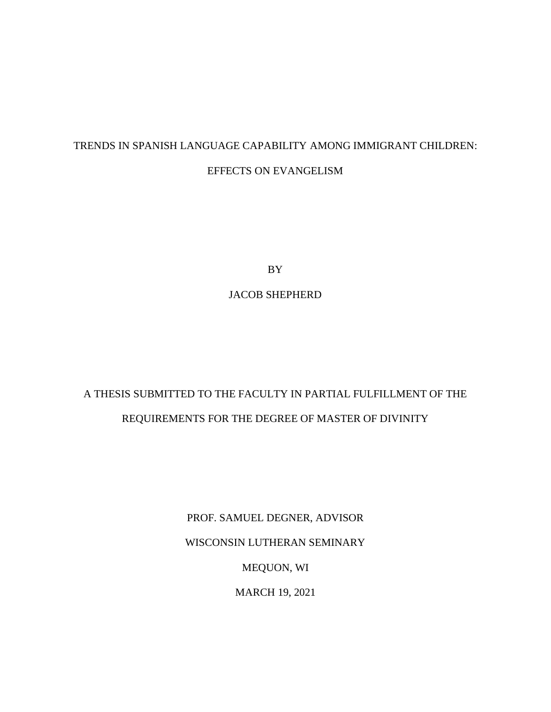## TRENDS IN SPANISH LANGUAGE CAPABILITY AMONG IMMIGRANT CHILDREN: EFFECTS ON EVANGELISM

BY

JACOB SHEPHERD

# A THESIS SUBMITTED TO THE FACULTY IN PARTIAL FULFILLMENT OF THE REQUIREMENTS FOR THE DEGREE OF MASTER OF DIVINITY

PROF. SAMUEL DEGNER, ADVISOR WISCONSIN LUTHERAN SEMINARY MEQUON, WI MARCH 19, 2021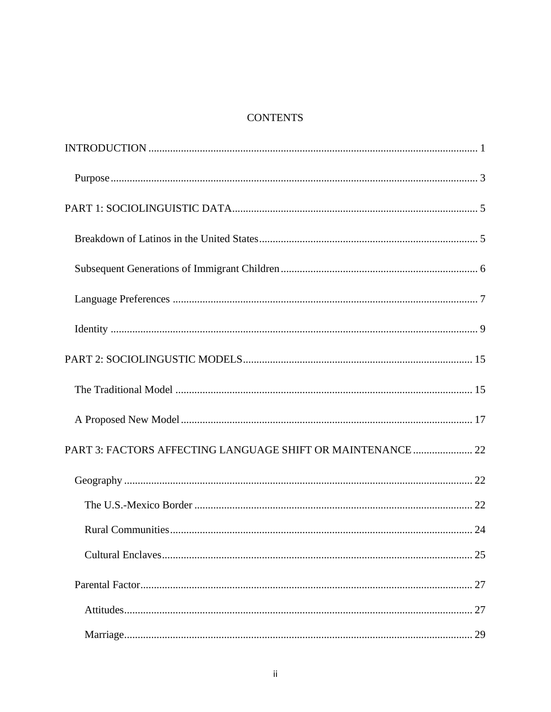## **CONTENTS**

| PART 3: FACTORS AFFECTING LANGUAGE SHIFT OR MAINTENANCE  22 |  |
|-------------------------------------------------------------|--|
|                                                             |  |
|                                                             |  |
|                                                             |  |
|                                                             |  |
|                                                             |  |
|                                                             |  |
|                                                             |  |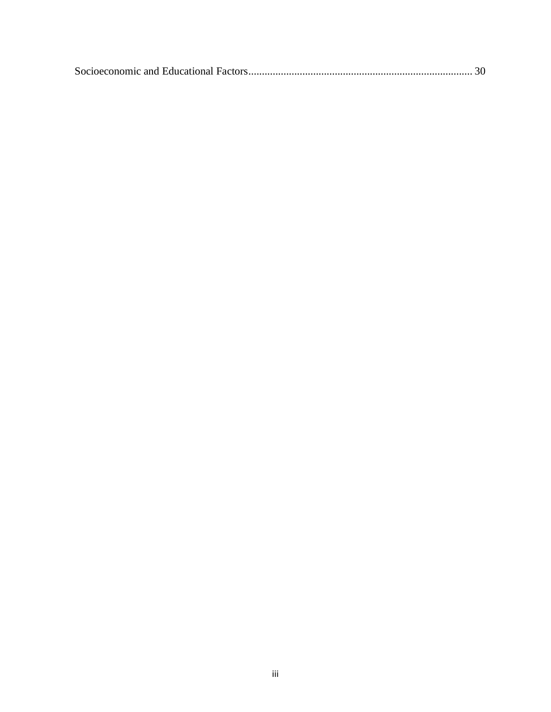|--|--|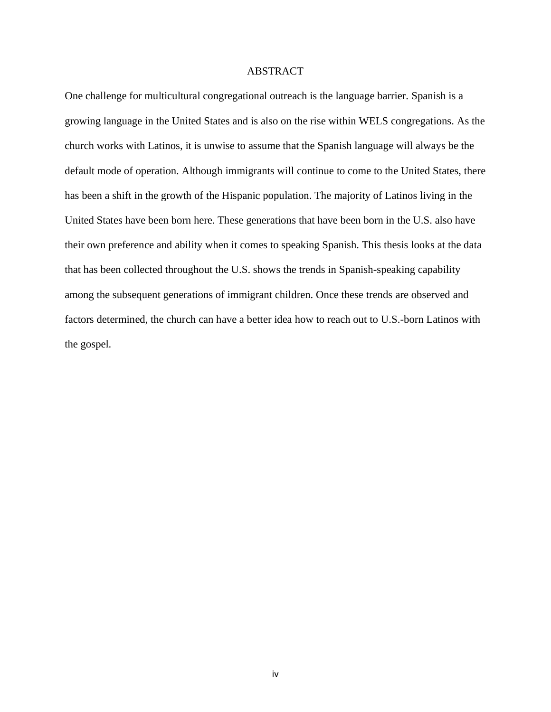## ABSTRACT

One challenge for multicultural congregational outreach is the language barrier. Spanish is a growing language in the United States and is also on the rise within WELS congregations. As the church works with Latinos, it is unwise to assume that the Spanish language will always be the default mode of operation. Although immigrants will continue to come to the United States, there has been a shift in the growth of the Hispanic population. The majority of Latinos living in the United States have been born here. These generations that have been born in the U.S. also have their own preference and ability when it comes to speaking Spanish. This thesis looks at the data that has been collected throughout the U.S. shows the trends in Spanish-speaking capability among the subsequent generations of immigrant children. Once these trends are observed and factors determined, the church can have a better idea how to reach out to U.S.-born Latinos with the gospel.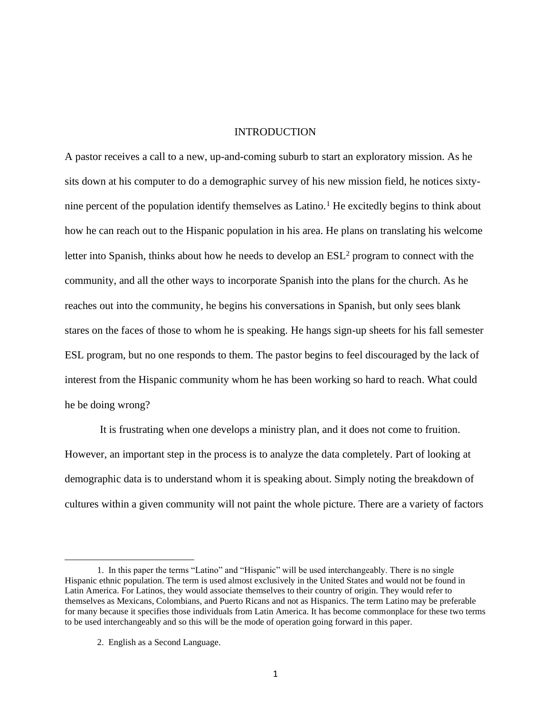## INTRODUCTION

A pastor receives a call to a new, up-and-coming suburb to start an exploratory mission. As he sits down at his computer to do a demographic survey of his new mission field, he notices sixtynine percent of the population identify themselves as Latino.<sup>1</sup> He excitedly begins to think about how he can reach out to the Hispanic population in his area. He plans on translating his welcome letter into Spanish, thinks about how he needs to develop an  $ESL<sup>2</sup>$  program to connect with the community, and all the other ways to incorporate Spanish into the plans for the church. As he reaches out into the community, he begins his conversations in Spanish, but only sees blank stares on the faces of those to whom he is speaking. He hangs sign-up sheets for his fall semester ESL program, but no one responds to them. The pastor begins to feel discouraged by the lack of interest from the Hispanic community whom he has been working so hard to reach. What could he be doing wrong?

It is frustrating when one develops a ministry plan, and it does not come to fruition. However, an important step in the process is to analyze the data completely. Part of looking at demographic data is to understand whom it is speaking about. Simply noting the breakdown of cultures within a given community will not paint the whole picture. There are a variety of factors

<sup>1.</sup> In this paper the terms "Latino" and "Hispanic" will be used interchangeably. There is no single Hispanic ethnic population. The term is used almost exclusively in the United States and would not be found in Latin America. For Latinos, they would associate themselves to their country of origin. They would refer to themselves as Mexicans, Colombians, and Puerto Ricans and not as Hispanics. The term Latino may be preferable for many because it specifies those individuals from Latin America. It has become commonplace for these two terms to be used interchangeably and so this will be the mode of operation going forward in this paper.

<sup>2.</sup> English as a Second Language.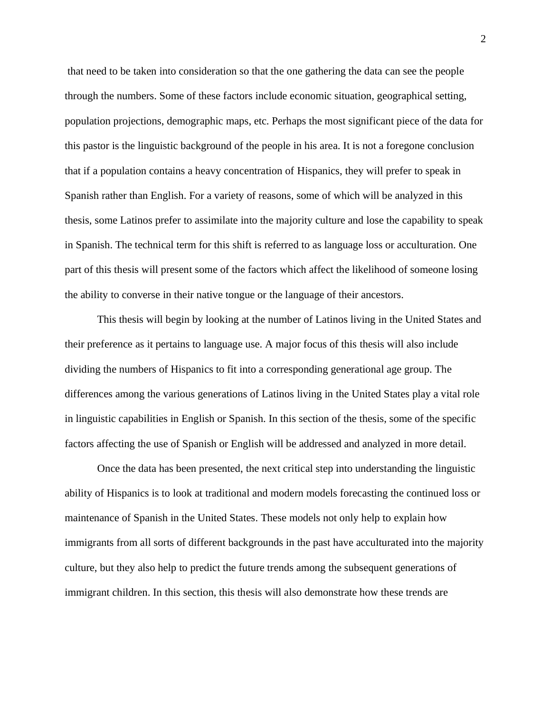that need to be taken into consideration so that the one gathering the data can see the people through the numbers. Some of these factors include economic situation, geographical setting, population projections, demographic maps, etc. Perhaps the most significant piece of the data for this pastor is the linguistic background of the people in his area. It is not a foregone conclusion that if a population contains a heavy concentration of Hispanics, they will prefer to speak in Spanish rather than English. For a variety of reasons, some of which will be analyzed in this thesis, some Latinos prefer to assimilate into the majority culture and lose the capability to speak in Spanish. The technical term for this shift is referred to as language loss or acculturation. One part of this thesis will present some of the factors which affect the likelihood of someone losing the ability to converse in their native tongue or the language of their ancestors.

This thesis will begin by looking at the number of Latinos living in the United States and their preference as it pertains to language use. A major focus of this thesis will also include dividing the numbers of Hispanics to fit into a corresponding generational age group. The differences among the various generations of Latinos living in the United States play a vital role in linguistic capabilities in English or Spanish. In this section of the thesis, some of the specific factors affecting the use of Spanish or English will be addressed and analyzed in more detail.

Once the data has been presented, the next critical step into understanding the linguistic ability of Hispanics is to look at traditional and modern models forecasting the continued loss or maintenance of Spanish in the United States. These models not only help to explain how immigrants from all sorts of different backgrounds in the past have acculturated into the majority culture, but they also help to predict the future trends among the subsequent generations of immigrant children. In this section, this thesis will also demonstrate how these trends are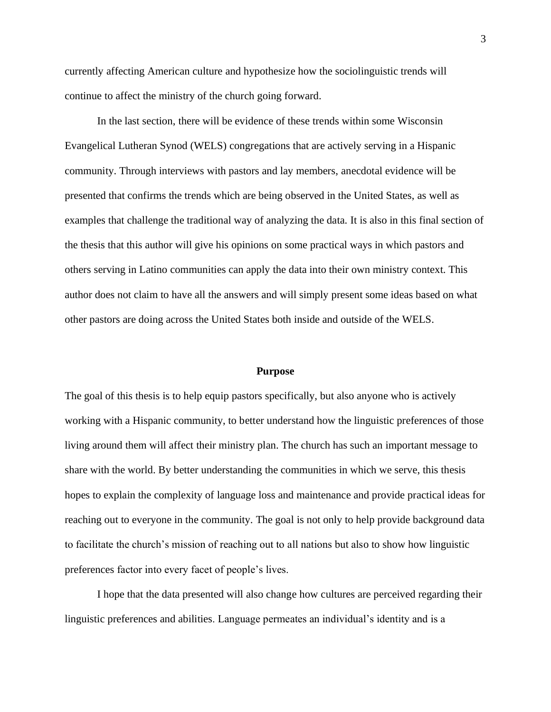currently affecting American culture and hypothesize how the sociolinguistic trends will continue to affect the ministry of the church going forward.

In the last section, there will be evidence of these trends within some Wisconsin Evangelical Lutheran Synod (WELS) congregations that are actively serving in a Hispanic community. Through interviews with pastors and lay members, anecdotal evidence will be presented that confirms the trends which are being observed in the United States, as well as examples that challenge the traditional way of analyzing the data. It is also in this final section of the thesis that this author will give his opinions on some practical ways in which pastors and others serving in Latino communities can apply the data into their own ministry context. This author does not claim to have all the answers and will simply present some ideas based on what other pastors are doing across the United States both inside and outside of the WELS.

## **Purpose**

The goal of this thesis is to help equip pastors specifically, but also anyone who is actively working with a Hispanic community, to better understand how the linguistic preferences of those living around them will affect their ministry plan. The church has such an important message to share with the world. By better understanding the communities in which we serve, this thesis hopes to explain the complexity of language loss and maintenance and provide practical ideas for reaching out to everyone in the community. The goal is not only to help provide background data to facilitate the church's mission of reaching out to all nations but also to show how linguistic preferences factor into every facet of people's lives.

I hope that the data presented will also change how cultures are perceived regarding their linguistic preferences and abilities. Language permeates an individual's identity and is a

3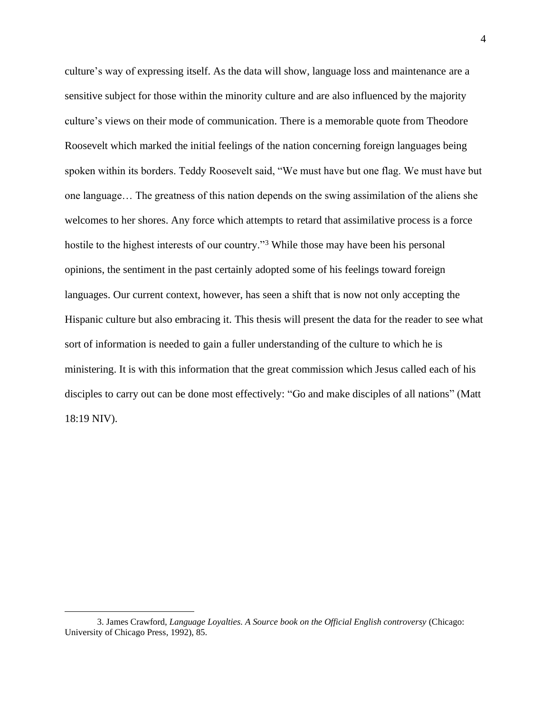culture's way of expressing itself. As the data will show, language loss and maintenance are a sensitive subject for those within the minority culture and are also influenced by the majority culture's views on their mode of communication. There is a memorable quote from Theodore Roosevelt which marked the initial feelings of the nation concerning foreign languages being spoken within its borders. Teddy Roosevelt said, "We must have but one flag. We must have but one language… The greatness of this nation depends on the swing assimilation of the aliens she welcomes to her shores. Any force which attempts to retard that assimilative process is a force hostile to the highest interests of our country."<sup>3</sup> While those may have been his personal opinions, the sentiment in the past certainly adopted some of his feelings toward foreign languages. Our current context, however, has seen a shift that is now not only accepting the Hispanic culture but also embracing it. This thesis will present the data for the reader to see what sort of information is needed to gain a fuller understanding of the culture to which he is ministering. It is with this information that the great commission which Jesus called each of his disciples to carry out can be done most effectively: "Go and make disciples of all nations" (Matt 18:19 NIV).

<sup>3.</sup> James Crawford, *Language Loyalties. A Source book on the Official English controversy* (Chicago: University of Chicago Press, 1992), 85.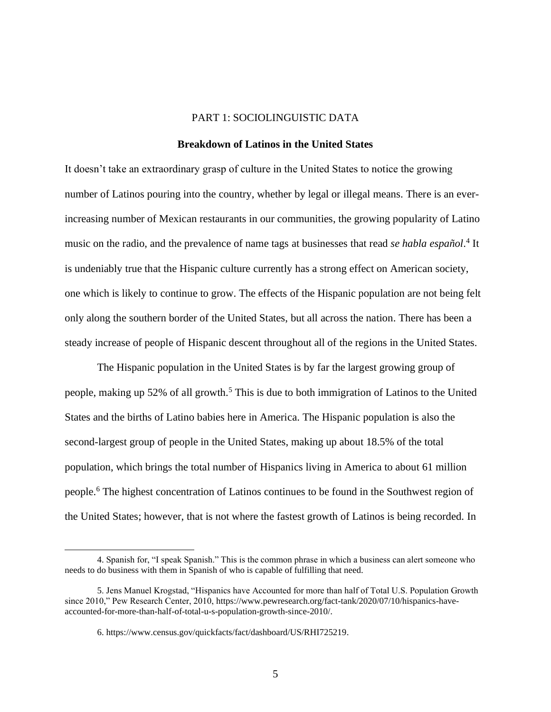## PART 1: SOCIOLINGUISTIC DATA

## **Breakdown of Latinos in the United States**

It doesn't take an extraordinary grasp of culture in the United States to notice the growing number of Latinos pouring into the country, whether by legal or illegal means. There is an everincreasing number of Mexican restaurants in our communities, the growing popularity of Latino music on the radio, and the prevalence of name tags at businesses that read *se habla español*.<sup>4</sup> It is undeniably true that the Hispanic culture currently has a strong effect on American society, one which is likely to continue to grow. The effects of the Hispanic population are not being felt only along the southern border of the United States, but all across the nation. There has been a steady increase of people of Hispanic descent throughout all of the regions in the United States.

The Hispanic population in the United States is by far the largest growing group of people, making up 52% of all growth.<sup>5</sup> This is due to both immigration of Latinos to the United States and the births of Latino babies here in America. The Hispanic population is also the second-largest group of people in the United States, making up about 18.5% of the total population, which brings the total number of Hispanics living in America to about 61 million people.<sup>6</sup> The highest concentration of Latinos continues to be found in the Southwest region of the United States; however, that is not where the fastest growth of Latinos is being recorded. In

<sup>4.</sup> Spanish for, "I speak Spanish." This is the common phrase in which a business can alert someone who needs to do business with them in Spanish of who is capable of fulfilling that need.

<sup>5.</sup> Jens Manuel Krogstad, "Hispanics have Accounted for more than half of Total U.S. Population Growth since 2010," Pew Research Center, 2010, https://www.pewresearch.org/fact-tank/2020/07/10/hispanics-haveaccounted-for-more-than-half-of-total-u-s-population-growth-since-2010/.

<sup>6.</sup> https://www.census.gov/quickfacts/fact/dashboard/US/RHI725219.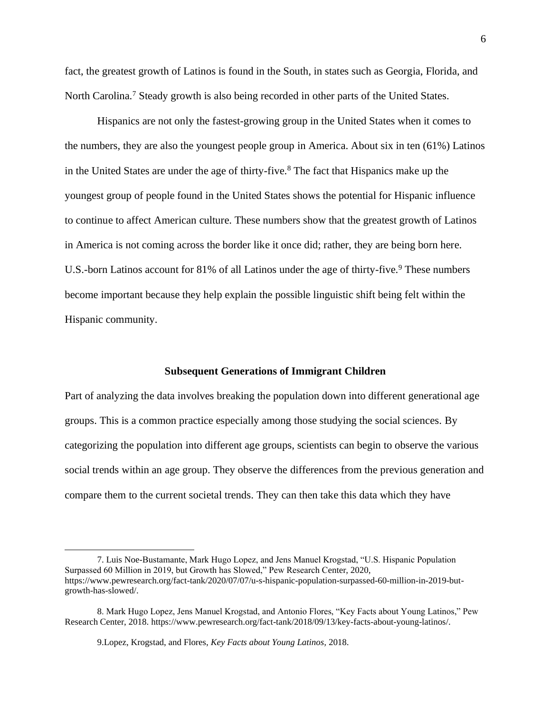fact, the greatest growth of Latinos is found in the South, in states such as Georgia, Florida, and North Carolina.<sup>7</sup> Steady growth is also being recorded in other parts of the United States.

Hispanics are not only the fastest-growing group in the United States when it comes to the numbers, they are also the youngest people group in America. About six in ten (61%) Latinos in the United States are under the age of thirty-five. $8$  The fact that Hispanics make up the youngest group of people found in the United States shows the potential for Hispanic influence to continue to affect American culture. These numbers show that the greatest growth of Latinos in America is not coming across the border like it once did; rather, they are being born here. U.S.-born Latinos account for  $81\%$  of all Latinos under the age of thirty-five.<sup>9</sup> These numbers become important because they help explain the possible linguistic shift being felt within the Hispanic community.

## **Subsequent Generations of Immigrant Children**

Part of analyzing the data involves breaking the population down into different generational age groups. This is a common practice especially among those studying the social sciences. By categorizing the population into different age groups, scientists can begin to observe the various social trends within an age group. They observe the differences from the previous generation and compare them to the current societal trends. They can then take this data which they have

<sup>7.</sup> Luis Noe-Bustamante, Mark Hugo Lopez, and Jens Manuel Krogstad, "U.S. Hispanic Population Surpassed 60 Million in 2019, but Growth has Slowed," Pew Research Center, 2020, https://www.pewresearch.org/fact-tank/2020/07/07/u-s-hispanic-population-surpassed-60-million-in-2019-butgrowth-has-slowed/.

<sup>8.</sup> Mark Hugo Lopez, Jens Manuel Krogstad, and Antonio Flores, "Key Facts about Young Latinos," Pew Research Center, 2018. https://www.pewresearch.org/fact-tank/2018/09/13/key-facts-about-young-latinos/.

[<sup>9.</sup>Lopez,](https://www.pewresearch.org/fact-tank/2018/09/13/key-facts-about-young-latinos/) Krogstad, and Flores, *Key Facts about Young Latinos,* 2018.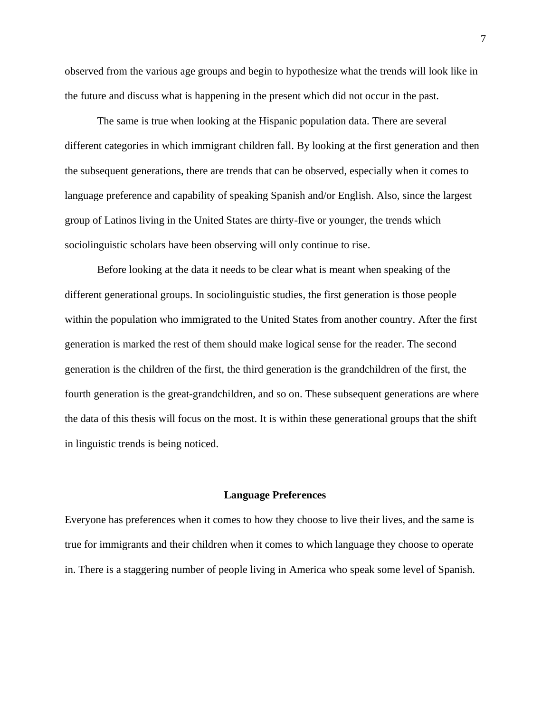observed from the various age groups and begin to hypothesize what the trends will look like in the future and discuss what is happening in the present which did not occur in the past.

The same is true when looking at the Hispanic population data. There are several different categories in which immigrant children fall. By looking at the first generation and then the subsequent generations, there are trends that can be observed, especially when it comes to language preference and capability of speaking Spanish and/or English. Also, since the largest group of Latinos living in the United States are thirty-five or younger, the trends which sociolinguistic scholars have been observing will only continue to rise.

Before looking at the data it needs to be clear what is meant when speaking of the different generational groups. In sociolinguistic studies, the first generation is those people within the population who immigrated to the United States from another country. After the first generation is marked the rest of them should make logical sense for the reader. The second generation is the children of the first, the third generation is the grandchildren of the first, the fourth generation is the great-grandchildren, and so on. These subsequent generations are where the data of this thesis will focus on the most. It is within these generational groups that the shift in linguistic trends is being noticed.

## **Language Preferences**

Everyone has preferences when it comes to how they choose to live their lives, and the same is true for immigrants and their children when it comes to which language they choose to operate in. There is a staggering number of people living in America who speak some level of Spanish.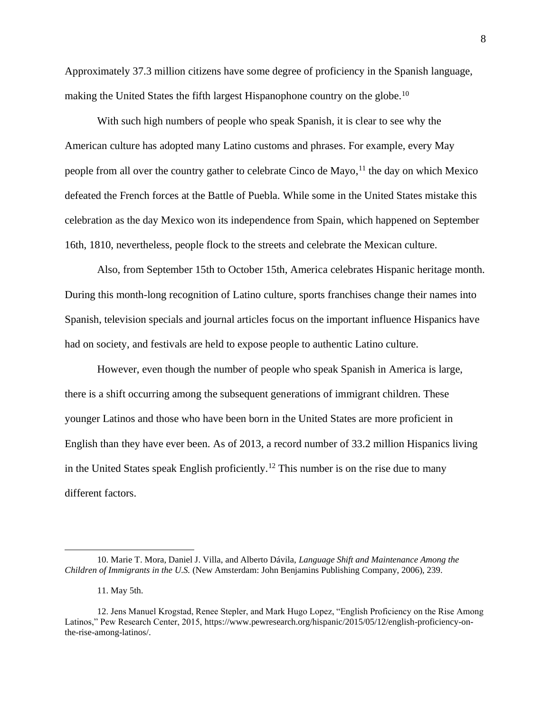Approximately 37.3 million citizens have some degree of proficiency in the Spanish language, making the United States the fifth largest Hispanophone country on the globe.<sup>10</sup>

With such high numbers of people who speak Spanish, it is clear to see why the American culture has adopted many Latino customs and phrases. For example, every May people from all over the country gather to celebrate Cinco de Mayo,<sup>11</sup> the day on which Mexico defeated the French forces at the Battle of Puebla. While some in the United States mistake this celebration as the day Mexico won its independence from Spain, which happened on September 16th, 1810, nevertheless, people flock to the streets and celebrate the Mexican culture.

Also, from September 15th to October 15th, America celebrates Hispanic heritage month. During this month-long recognition of Latino culture, sports franchises change their names into Spanish, television specials and journal articles focus on the important influence Hispanics have had on society, and festivals are held to expose people to authentic Latino culture.

However, even though the number of people who speak Spanish in America is large, there is a shift occurring among the subsequent generations of immigrant children. These younger Latinos and those who have been born in the United States are more proficient in English than they have ever been. As of 2013, a record number of 33.2 million Hispanics living in the United States speak English proficiently.<sup>12</sup> This number is on the rise due to many different factors.

<sup>10.</sup> Marie T. Mora, Daniel J. Villa, and Alberto Dávila, *Language Shift and Maintenance Among the Children of Immigrants in the U.S.* (New Amsterdam: John Benjamins Publishing Company, 2006), 239.

<sup>11.</sup> May 5th.

<sup>12.</sup> Jens Manuel Krogstad, Renee Stepler, and Mark Hugo Lopez, "English Proficiency on the Rise Among Latinos," Pew Research Center, 2015, https://www.pewresearch.org/hispanic/2015/05/12/english-proficiency-onthe-rise-among-latinos/.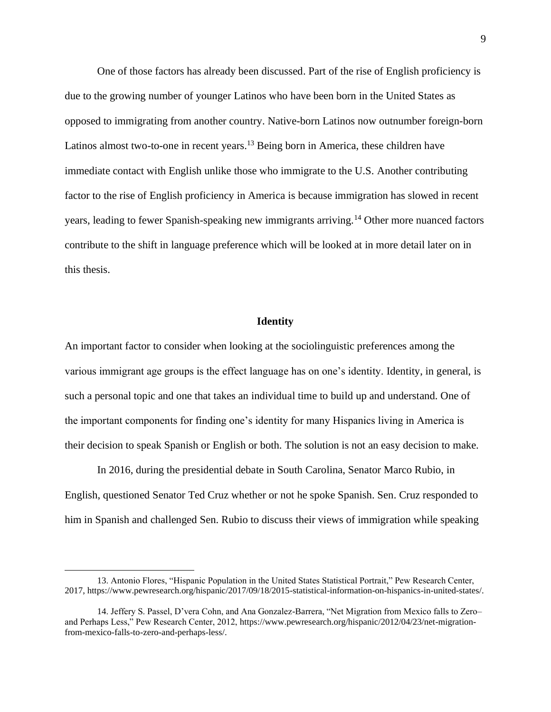One of those factors has already been discussed. Part of the rise of English proficiency is due to the growing number of younger Latinos who have been born in the United States as opposed to immigrating from another country. Native-born Latinos now outnumber foreign-born Latinos almost two-to-one in recent years.<sup>13</sup> Being born in America, these children have immediate contact with English unlike those who immigrate to the U.S. Another contributing factor to the rise of English proficiency in America is because immigration has slowed in recent years, leading to fewer Spanish-speaking new immigrants arriving.<sup>14</sup> Other more nuanced factors contribute to the shift in language preference which will be looked at in more detail later on in this thesis.

## **Identity**

An important factor to consider when looking at the sociolinguistic preferences among the various immigrant age groups is the effect language has on one's identity. Identity, in general, is such a personal topic and one that takes an individual time to build up and understand. One of the important components for finding one's identity for many Hispanics living in America is their decision to speak Spanish or English or both. The solution is not an easy decision to make.

In 2016, during the presidential debate in South Carolina, Senator Marco Rubio, in English, questioned Senator Ted Cruz whether or not he spoke Spanish. Sen. Cruz responded to him in Spanish and challenged Sen. Rubio to discuss their views of immigration while speaking

<sup>13.</sup> Antonio Flores, "Hispanic Population in the United States Statistical Portrait," Pew Research Center, 2017, https://www.pewresearch.org/hispanic/2017/09/18/2015-statistical-information-on-hispanics-in-united-states/.

<sup>14.</sup> Jeffery S. Passel, D'vera Cohn, and Ana Gonzalez-Barrera, "Net Migration from Mexico falls to Zero– and Perhaps Less," Pew Research Center, 2012, https://www.pewresearch.org/hispanic/2012/04/23/net-migrationfrom-mexico-falls-to-zero-and-perhaps-less/.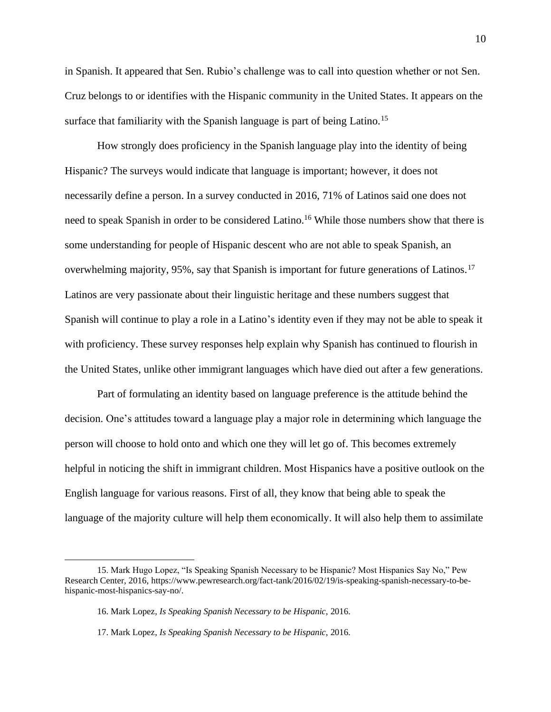in Spanish. It appeared that Sen. Rubio's challenge was to call into question whether or not Sen. Cruz belongs to or identifies with the Hispanic community in the United States. It appears on the surface that familiarity with the Spanish language is part of being Latino.<sup>15</sup>

How strongly does proficiency in the Spanish language play into the identity of being Hispanic? The surveys would indicate that language is important; however, it does not necessarily define a person. In a survey conducted in 2016, 71% of Latinos said one does not need to speak Spanish in order to be considered Latino.<sup>16</sup> While those numbers show that there is some understanding for people of Hispanic descent who are not able to speak Spanish, an overwhelming majority, 95%, say that Spanish is important for future generations of Latinos.<sup>17</sup> Latinos are very passionate about their linguistic heritage and these numbers suggest that Spanish will continue to play a role in a Latino's identity even if they may not be able to speak it with proficiency. These survey responses help explain why Spanish has continued to flourish in the United States, unlike other immigrant languages which have died out after a few generations.

Part of formulating an identity based on language preference is the attitude behind the decision. One's attitudes toward a language play a major role in determining which language the person will choose to hold onto and which one they will let go of. This becomes extremely helpful in noticing the shift in immigrant children. Most Hispanics have a positive outlook on the English language for various reasons. First of all, they know that being able to speak the language of the majority culture will help them economically. It will also help them to assimilate

<sup>15.</sup> Mark Hugo Lopez, "Is Speaking Spanish Necessary to be Hispanic? Most Hispanics Say No," Pew Research Center, 2016, https://www.pewresearch.org/fact-tank/2016/02/19/is-speaking-spanish-necessary-to-behispanic-most-hispanics-say-no/.

<sup>16.</sup> Mark Lopez, *Is Speaking Spanish Necessary to be Hispanic,* 2016.

<sup>17.</sup> Mark Lopez, *Is Speaking Spanish Necessary to be Hispanic,* 2016.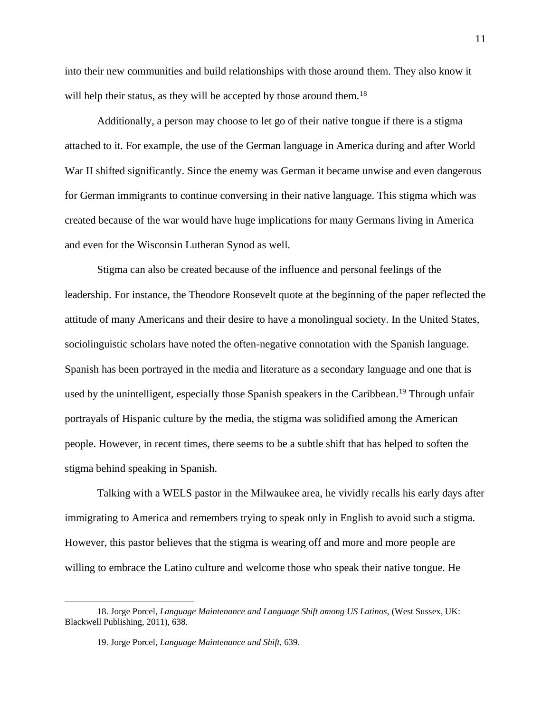into their new communities and build relationships with those around them. They also know it will help their status, as they will be accepted by those around them.<sup>18</sup>

Additionally, a person may choose to let go of their native tongue if there is a stigma attached to it. For example, the use of the German language in America during and after World War II shifted significantly. Since the enemy was German it became unwise and even dangerous for German immigrants to continue conversing in their native language. This stigma which was created because of the war would have huge implications for many Germans living in America and even for the Wisconsin Lutheran Synod as well.

Stigma can also be created because of the influence and personal feelings of the leadership. For instance, the Theodore Roosevelt quote at the beginning of the paper reflected the attitude of many Americans and their desire to have a monolingual society. In the United States, sociolinguistic scholars have noted the often-negative connotation with the Spanish language. Spanish has been portrayed in the media and literature as a secondary language and one that is used by the unintelligent, especially those Spanish speakers in the Caribbean.<sup>19</sup> Through unfair portrayals of Hispanic culture by the media, the stigma was solidified among the American people. However, in recent times, there seems to be a subtle shift that has helped to soften the stigma behind speaking in Spanish.

Talking with a WELS pastor in the Milwaukee area, he vividly recalls his early days after immigrating to America and remembers trying to speak only in English to avoid such a stigma. However, this pastor believes that the stigma is wearing off and more and more people are willing to embrace the Latino culture and welcome those who speak their native tongue. He

<sup>18.</sup> Jorge Porcel, *Language Maintenance and Language Shift among US Latinos,* (West Sussex, UK: Blackwell Publishing, 2011), 638.

<sup>19.</sup> Jorge Porcel, *Language Maintenance and Shift,* 639.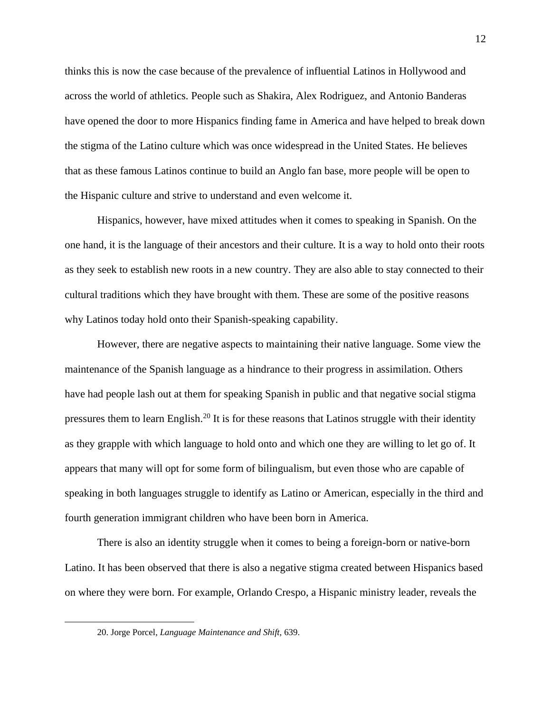thinks this is now the case because of the prevalence of influential Latinos in Hollywood and across the world of athletics. People such as Shakira, Alex Rodriguez, and Antonio Banderas have opened the door to more Hispanics finding fame in America and have helped to break down the stigma of the Latino culture which was once widespread in the United States. He believes that as these famous Latinos continue to build an Anglo fan base, more people will be open to the Hispanic culture and strive to understand and even welcome it.

Hispanics, however, have mixed attitudes when it comes to speaking in Spanish. On the one hand, it is the language of their ancestors and their culture. It is a way to hold onto their roots as they seek to establish new roots in a new country. They are also able to stay connected to their cultural traditions which they have brought with them. These are some of the positive reasons why Latinos today hold onto their Spanish-speaking capability.

However, there are negative aspects to maintaining their native language. Some view the maintenance of the Spanish language as a hindrance to their progress in assimilation. Others have had people lash out at them for speaking Spanish in public and that negative social stigma pressures them to learn English.<sup>20</sup> It is for these reasons that Latinos struggle with their identity as they grapple with which language to hold onto and which one they are willing to let go of. It appears that many will opt for some form of bilingualism, but even those who are capable of speaking in both languages struggle to identify as Latino or American, especially in the third and fourth generation immigrant children who have been born in America.

There is also an identity struggle when it comes to being a foreign-born or native-born Latino. It has been observed that there is also a negative stigma created between Hispanics based on where they were born. For example, Orlando Crespo, a Hispanic ministry leader, reveals the

<sup>20.</sup> Jorge Porcel, *Language Maintenance and Shift,* 639.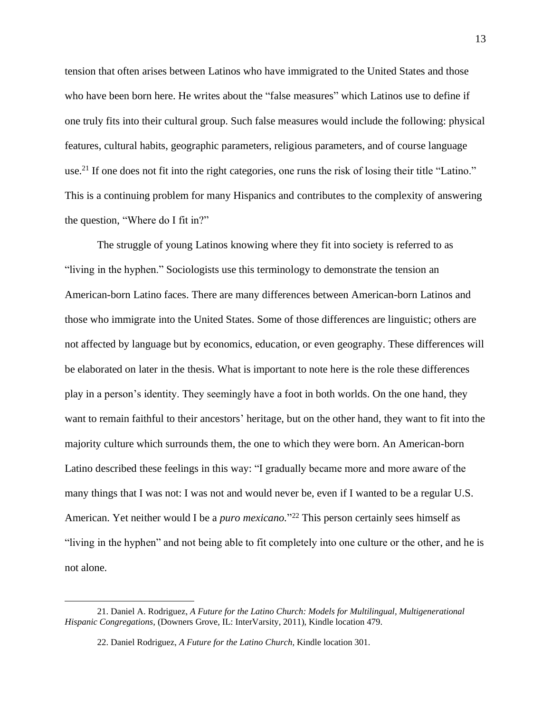tension that often arises between Latinos who have immigrated to the United States and those who have been born here. He writes about the "false measures" which Latinos use to define if one truly fits into their cultural group. Such false measures would include the following: physical features, cultural habits, geographic parameters, religious parameters, and of course language use.<sup>21</sup> If one does not fit into the right categories, one runs the risk of losing their title "Latino." This is a continuing problem for many Hispanics and contributes to the complexity of answering the question, "Where do I fit in?"

The struggle of young Latinos knowing where they fit into society is referred to as "living in the hyphen." Sociologists use this terminology to demonstrate the tension an American-born Latino faces. There are many differences between American-born Latinos and those who immigrate into the United States. Some of those differences are linguistic; others are not affected by language but by economics, education, or even geography. These differences will be elaborated on later in the thesis. What is important to note here is the role these differences play in a person's identity. They seemingly have a foot in both worlds. On the one hand, they want to remain faithful to their ancestors' heritage, but on the other hand, they want to fit into the majority culture which surrounds them, the one to which they were born. An American-born Latino described these feelings in this way: "I gradually became more and more aware of the many things that I was not: I was not and would never be, even if I wanted to be a regular U.S. American. Yet neither would I be a *puro mexicano.*" <sup>22</sup> This person certainly sees himself as "living in the hyphen" and not being able to fit completely into one culture or the other, and he is not alone.

<sup>21.</sup> Daniel A. Rodriguez, *A Future for the Latino Church: Models for Multilingual, Multigenerational Hispanic Congregations,* (Downers Grove, IL: InterVarsity, 2011), Kindle location 479.

<sup>22.</sup> Daniel Rodriguez, *A Future for the Latino Church,* Kindle location 301.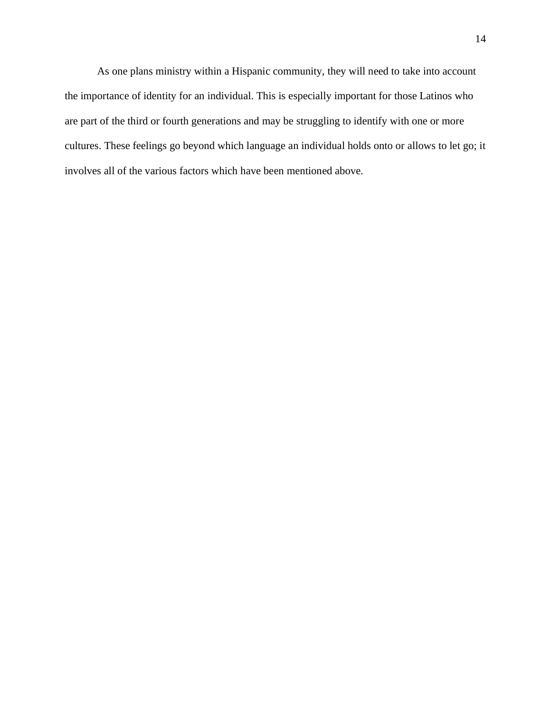As one plans ministry within a Hispanic community, they will need to take into account the importance of identity for an individual. This is especially important for those Latinos who are part of the third or fourth generations and may be struggling to identify with one or more cultures. These feelings go beyond which language an individual holds onto or allows to let go; it involves all of the various factors which have been mentioned above.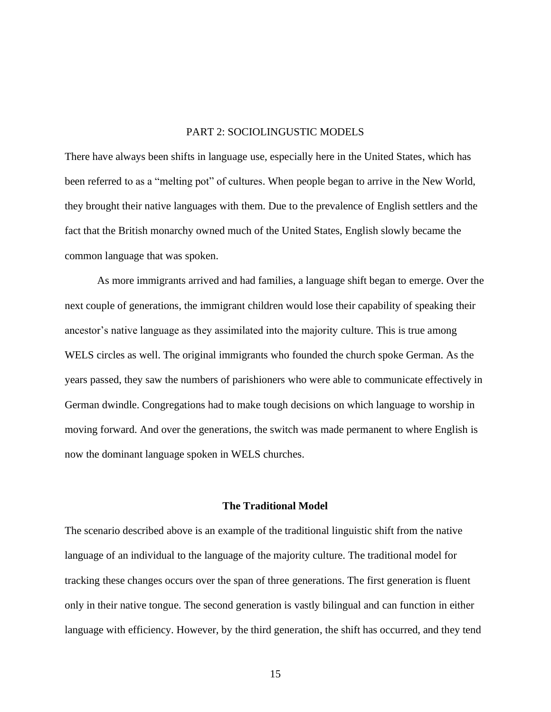## PART 2: SOCIOLINGUSTIC MODELS

There have always been shifts in language use, especially here in the United States, which has been referred to as a "melting pot" of cultures. When people began to arrive in the New World, they brought their native languages with them. Due to the prevalence of English settlers and the fact that the British monarchy owned much of the United States, English slowly became the common language that was spoken.

As more immigrants arrived and had families, a language shift began to emerge. Over the next couple of generations, the immigrant children would lose their capability of speaking their ancestor's native language as they assimilated into the majority culture. This is true among WELS circles as well. The original immigrants who founded the church spoke German. As the years passed, they saw the numbers of parishioners who were able to communicate effectively in German dwindle. Congregations had to make tough decisions on which language to worship in moving forward. And over the generations, the switch was made permanent to where English is now the dominant language spoken in WELS churches.

## **The Traditional Model**

The scenario described above is an example of the traditional linguistic shift from the native language of an individual to the language of the majority culture. The traditional model for tracking these changes occurs over the span of three generations. The first generation is fluent only in their native tongue. The second generation is vastly bilingual and can function in either language with efficiency. However, by the third generation, the shift has occurred, and they tend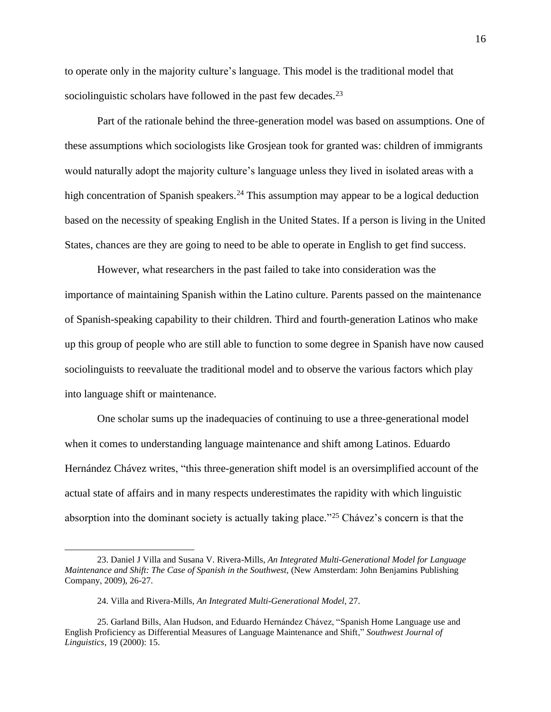to operate only in the majority culture's language. This model is the traditional model that sociolinguistic scholars have followed in the past few decades.<sup>23</sup>

Part of the rationale behind the three-generation model was based on assumptions. One of these assumptions which sociologists like Grosjean took for granted was: children of immigrants would naturally adopt the majority culture's language unless they lived in isolated areas with a high concentration of Spanish speakers.<sup>24</sup> This assumption may appear to be a logical deduction based on the necessity of speaking English in the United States. If a person is living in the United States, chances are they are going to need to be able to operate in English to get find success.

However, what researchers in the past failed to take into consideration was the importance of maintaining Spanish within the Latino culture. Parents passed on the maintenance of Spanish-speaking capability to their children. Third and fourth-generation Latinos who make up this group of people who are still able to function to some degree in Spanish have now caused sociolinguists to reevaluate the traditional model and to observe the various factors which play into language shift or maintenance.

One scholar sums up the inadequacies of continuing to use a three-generational model when it comes to understanding language maintenance and shift among Latinos. Eduardo Hernández Chávez writes, "this three-generation shift model is an oversimplified account of the actual state of affairs and in many respects underestimates the rapidity with which linguistic absorption into the dominant society is actually taking place."<sup>25</sup> Chávez's concern is that the

<sup>23.</sup> Daniel J Villa and Susana V. Rivera-Mills, *An Integrated Multi-Generational Model for Language Maintenance and Shift: The Case of Spanish in the Southwest, (New Amsterdam: John Benjamins Publishing* Company, 2009), 26-27.

<sup>24.</sup> Villa and Rivera-Mills, *An Integrated Multi-Generational Model,* 27.

<sup>25.</sup> Garland Bills, Alan Hudson, and Eduardo Hernández Chávez, "Spanish Home Language use and English Proficiency as Differential Measures of Language Maintenance and Shift," *Southwest Journal of Linguistics*, 19 (2000): 15.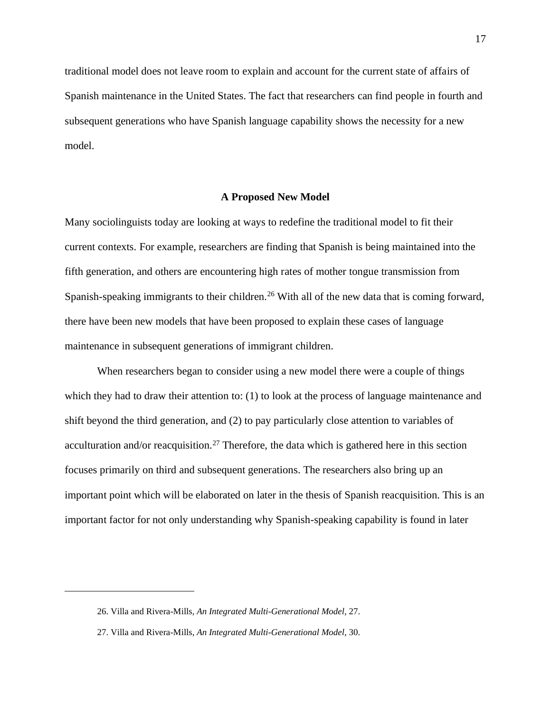traditional model does not leave room to explain and account for the current state of affairs of Spanish maintenance in the United States. The fact that researchers can find people in fourth and subsequent generations who have Spanish language capability shows the necessity for a new model.

## **A Proposed New Model**

Many sociolinguists today are looking at ways to redefine the traditional model to fit their current contexts. For example, researchers are finding that Spanish is being maintained into the fifth generation, and others are encountering high rates of mother tongue transmission from Spanish-speaking immigrants to their children.<sup>26</sup> With all of the new data that is coming forward, there have been new models that have been proposed to explain these cases of language maintenance in subsequent generations of immigrant children.

When researchers began to consider using a new model there were a couple of things which they had to draw their attention to: (1) to look at the process of language maintenance and shift beyond the third generation, and (2) to pay particularly close attention to variables of acculturation and/or reacquisition.<sup>27</sup> Therefore, the data which is gathered here in this section focuses primarily on third and subsequent generations. The researchers also bring up an important point which will be elaborated on later in the thesis of Spanish reacquisition. This is an important factor for not only understanding why Spanish-speaking capability is found in later

<sup>26.</sup> Villa and Rivera-Mills, *An Integrated Multi-Generational Model,* 27.

<sup>27.</sup> Villa and Rivera-Mills, *An Integrated Multi-Generational Model,* 30.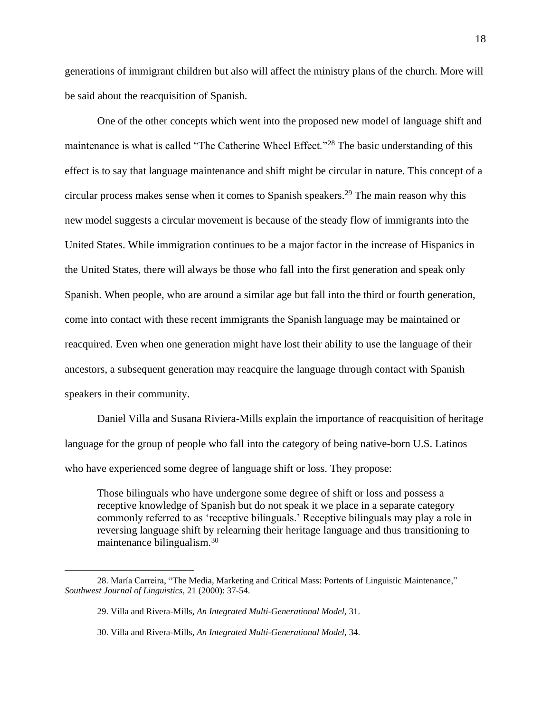generations of immigrant children but also will affect the ministry plans of the church. More will be said about the reacquisition of Spanish.

One of the other concepts which went into the proposed new model of language shift and maintenance is what is called "The Catherine Wheel Effect."<sup>28</sup> The basic understanding of this effect is to say that language maintenance and shift might be circular in nature. This concept of a circular process makes sense when it comes to Spanish speakers.<sup>29</sup> The main reason why this new model suggests a circular movement is because of the steady flow of immigrants into the United States. While immigration continues to be a major factor in the increase of Hispanics in the United States, there will always be those who fall into the first generation and speak only Spanish. When people, who are around a similar age but fall into the third or fourth generation, come into contact with these recent immigrants the Spanish language may be maintained or reacquired. Even when one generation might have lost their ability to use the language of their ancestors, a subsequent generation may reacquire the language through contact with Spanish speakers in their community.

Daniel Villa and Susana Riviera-Mills explain the importance of reacquisition of heritage language for the group of people who fall into the category of being native-born U.S. Latinos who have experienced some degree of language shift or loss. They propose:

Those bilinguals who have undergone some degree of shift or loss and possess a receptive knowledge of Spanish but do not speak it we place in a separate category commonly referred to as 'receptive bilinguals.' Receptive bilinguals may play a role in reversing language shift by relearning their heritage language and thus transitioning to maintenance bilingualism.<sup>30</sup>

<sup>28.</sup> María Carreira, "The Media, Marketing and Critical Mass: Portents of Linguistic Maintenance," *Southwest Journal of Linguistics*, 21 (2000): 37-54.

<sup>29.</sup> Villa and Rivera-Mills, *An Integrated Multi-Generational Model,* 31.

<sup>30.</sup> Villa and Rivera-Mills, *An Integrated Multi-Generational Model,* 34.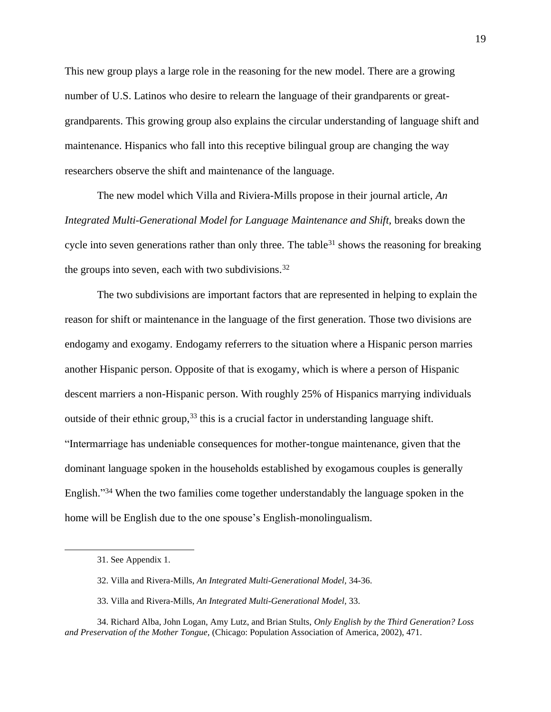This new group plays a large role in the reasoning for the new model. There are a growing number of U.S. Latinos who desire to relearn the language of their grandparents or greatgrandparents. This growing group also explains the circular understanding of language shift and maintenance. Hispanics who fall into this receptive bilingual group are changing the way researchers observe the shift and maintenance of the language.

The new model which Villa and Riviera-Mills propose in their journal article, *An Integrated Multi-Generational Model for Language Maintenance and Shift,* breaks down the cycle into seven generations rather than only three. The table  $31$  shows the reasoning for breaking the groups into seven, each with two subdivisions.  $32$ 

The two subdivisions are important factors that are represented in helping to explain the reason for shift or maintenance in the language of the first generation. Those two divisions are endogamy and exogamy. Endogamy referrers to the situation where a Hispanic person marries another Hispanic person. Opposite of that is exogamy, which is where a person of Hispanic descent marriers a non-Hispanic person. With roughly 25% of Hispanics marrying individuals outside of their ethnic group,<sup>33</sup> this is a crucial factor in understanding language shift. "Intermarriage has undeniable consequences for mother-tongue maintenance, given that the dominant language spoken in the households established by exogamous couples is generally English."<sup>34</sup> When the two families come together understandably the language spoken in the home will be English due to the one spouse's English-monolingualism.

<sup>31.</sup> See Appendix 1.

<sup>32.</sup> Villa and Rivera-Mills, *An Integrated Multi-Generational Model,* 34-36.

<sup>33.</sup> Villa and Rivera-Mills, *An Integrated Multi-Generational Model,* 33.

<sup>34.</sup> Richard Alba, John Logan, Amy Lutz, and Brian Stults, *Only English by the Third Generation? Loss and Preservation of the Mother Tongue,* (Chicago: Population Association of America, 2002), 471.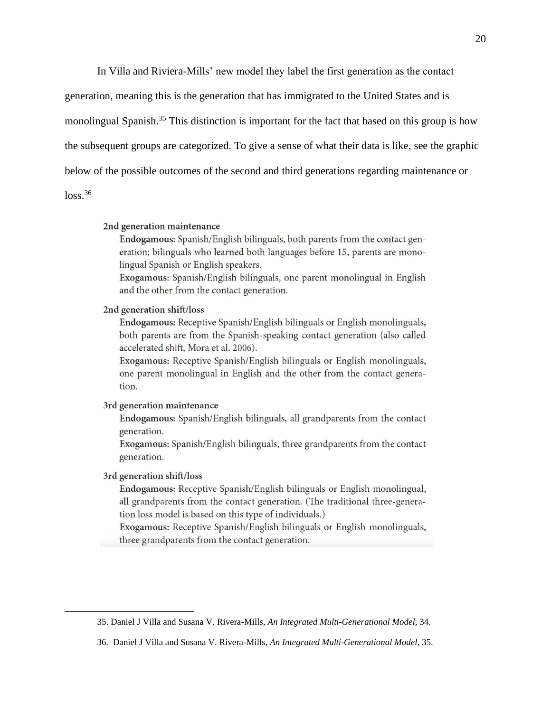In Villa and Riviera-Mills' new model they label the first generation as the contact

generation, meaning this is the generation that has immigrated to the United States and is monolingual Spanish.<sup>35</sup> This distinction is important for the fact that based on this group is how the subsequent groups are categorized. To give a sense of what their data is like, see the graphic below of the possible outcomes of the second and third generations regarding maintenance or

 $loss<sup>36</sup>$ 

#### 2nd generation maintenance

Endogamous: Spanish/English bilinguals, both parents from the contact generation; bilinguals who learned both languages before 15, parents are monolingual Spanish or English speakers.

Exogamous: Spanish/English bilinguals, one parent monolingual in English and the other from the contact generation.

### 2nd generation shift/loss

Endogamous: Receptive Spanish/English bilinguals or English monolinguals, both parents are from the Spanish-speaking contact generation (also called accelerated shift, Mora et al. 2006).

Exogamous: Receptive Spanish/English bilinguals or English monolinguals, one parent monolingual in English and the other from the contact generation.

## 3rd generation maintenance

Endogamous: Spanish/English bilinguals, all grandparents from the contact generation.

Exogamous: Spanish/English bilinguals, three grandparents from the contact generation.

#### 3rd generation shift/loss

Endogamous: Receptive Spanish/English bilinguals or English monolingual, all grandparents from the contact generation. (The traditional three-generation loss model is based on this type of individuals.)

Exogamous: Receptive Spanish/English bilinguals or English monolinguals, three grandparents from the contact generation.

<sup>35.</sup> Daniel J Villa and Susana V. Rivera-Mills, *An Integrated Multi-Generational Model,* 34.

<sup>36.</sup> Daniel J Villa and Susana V. Rivera-Mills, *An Integrated Multi-Generational Model,* 35.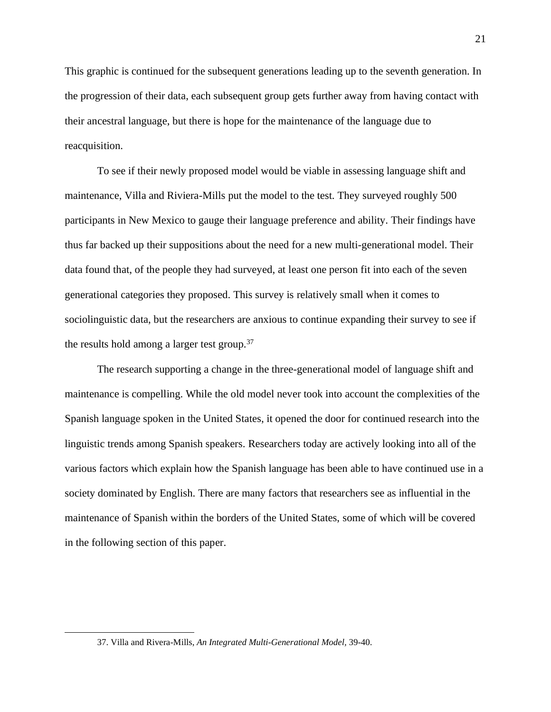This graphic is continued for the subsequent generations leading up to the seventh generation. In the progression of their data, each subsequent group gets further away from having contact with their ancestral language, but there is hope for the maintenance of the language due to reacquisition.

To see if their newly proposed model would be viable in assessing language shift and maintenance, Villa and Riviera-Mills put the model to the test. They surveyed roughly 500 participants in New Mexico to gauge their language preference and ability. Their findings have thus far backed up their suppositions about the need for a new multi-generational model. Their data found that, of the people they had surveyed, at least one person fit into each of the seven generational categories they proposed. This survey is relatively small when it comes to sociolinguistic data, but the researchers are anxious to continue expanding their survey to see if the results hold among a larger test group. $37$ 

The research supporting a change in the three-generational model of language shift and maintenance is compelling. While the old model never took into account the complexities of the Spanish language spoken in the United States, it opened the door for continued research into the linguistic trends among Spanish speakers. Researchers today are actively looking into all of the various factors which explain how the Spanish language has been able to have continued use in a society dominated by English. There are many factors that researchers see as influential in the maintenance of Spanish within the borders of the United States, some of which will be covered in the following section of this paper.

<sup>37.</sup> Villa and Rivera-Mills, *An Integrated Multi-Generational Model,* 39-40.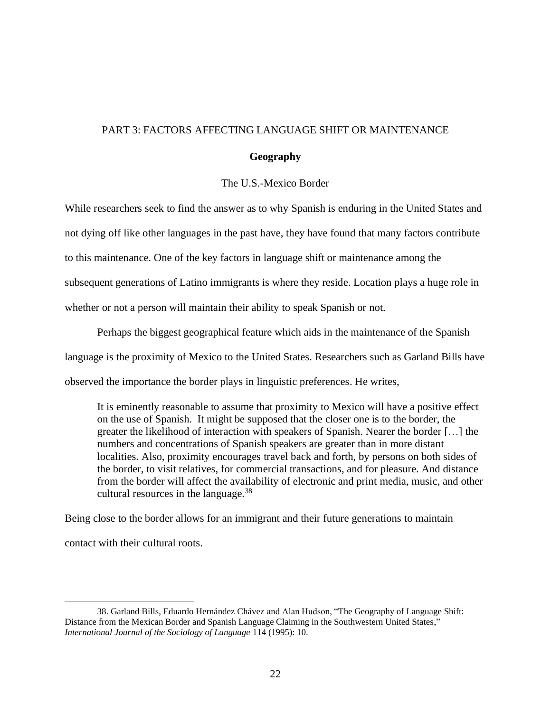## PART 3: FACTORS AFFECTING LANGUAGE SHIFT OR MAINTENANCE

## **Geography**

## The U.S.-Mexico Border

While researchers seek to find the answer as to why Spanish is enduring in the United States and not dying off like other languages in the past have, they have found that many factors contribute to this maintenance. One of the key factors in language shift or maintenance among the subsequent generations of Latino immigrants is where they reside. Location plays a huge role in whether or not a person will maintain their ability to speak Spanish or not.

Perhaps the biggest geographical feature which aids in the maintenance of the Spanish language is the proximity of Mexico to the United States. Researchers such as Garland Bills have observed the importance the border plays in linguistic preferences. He writes,

It is eminently reasonable to assume that proximity to Mexico will have a positive effect on the use of Spanish. It might be supposed that the closer one is to the border, the greater the likelihood of interaction with speakers of Spanish. Nearer the border […] the numbers and concentrations of Spanish speakers are greater than in more distant localities. Also, proximity encourages travel back and forth, by persons on both sides of the border, to visit relatives, for commercial transactions, and for pleasure. And distance from the border will affect the availability of electronic and print media, music, and other cultural resources in the language.<sup>38</sup>

Being close to the border allows for an immigrant and their future generations to maintain contact with their cultural roots.

<sup>38.</sup> Garland Bills, Eduardo Hernández Chávez and Alan Hudson, "The Geography of Language Shift: Distance from the Mexican Border and Spanish Language Claiming in the Southwestern United States," *International Journal of the Sociology of Language* 114 (1995): 10.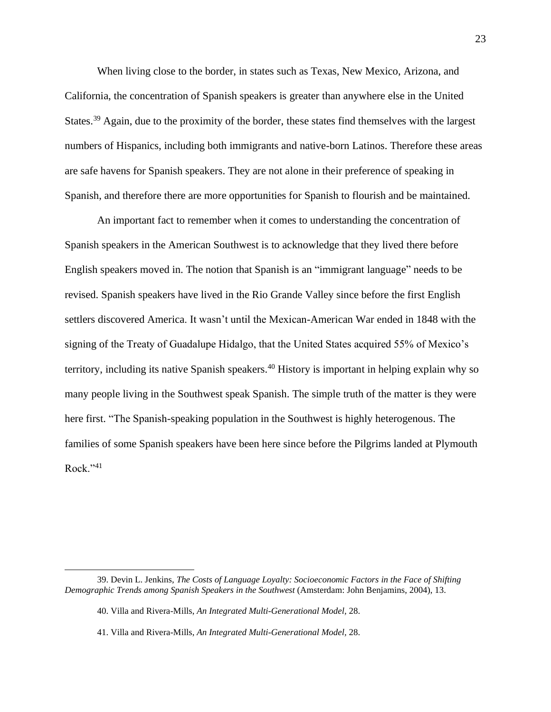When living close to the border, in states such as Texas, New Mexico, Arizona, and California, the concentration of Spanish speakers is greater than anywhere else in the United States.<sup>39</sup> Again, due to the proximity of the border, these states find themselves with the largest numbers of Hispanics, including both immigrants and native-born Latinos. Therefore these areas are safe havens for Spanish speakers. They are not alone in their preference of speaking in Spanish, and therefore there are more opportunities for Spanish to flourish and be maintained.

An important fact to remember when it comes to understanding the concentration of Spanish speakers in the American Southwest is to acknowledge that they lived there before English speakers moved in. The notion that Spanish is an "immigrant language" needs to be revised. Spanish speakers have lived in the Rio Grande Valley since before the first English settlers discovered America. It wasn't until the Mexican-American War ended in 1848 with the signing of the Treaty of Guadalupe Hidalgo, that the United States acquired 55% of Mexico's territory, including its native Spanish speakers.<sup>40</sup> History is important in helping explain why so many people living in the Southwest speak Spanish. The simple truth of the matter is they were here first. "The Spanish-speaking population in the Southwest is highly heterogenous. The families of some Spanish speakers have been here since before the Pilgrims landed at Plymouth  $Rock. "41"$ 

<sup>39.</sup> Devin L. Jenkins, *The Costs of Language Loyalty: Socioeconomic Factors in the Face of Shifting Demographic Trends among Spanish Speakers in the Southwest* (Amsterdam: John Benjamins, 2004), 13.

<sup>40.</sup> Villa and Rivera-Mills, *An Integrated Multi-Generational Model,* 28.

<sup>41.</sup> Villa and Rivera-Mills, *An Integrated Multi-Generational Model,* 28.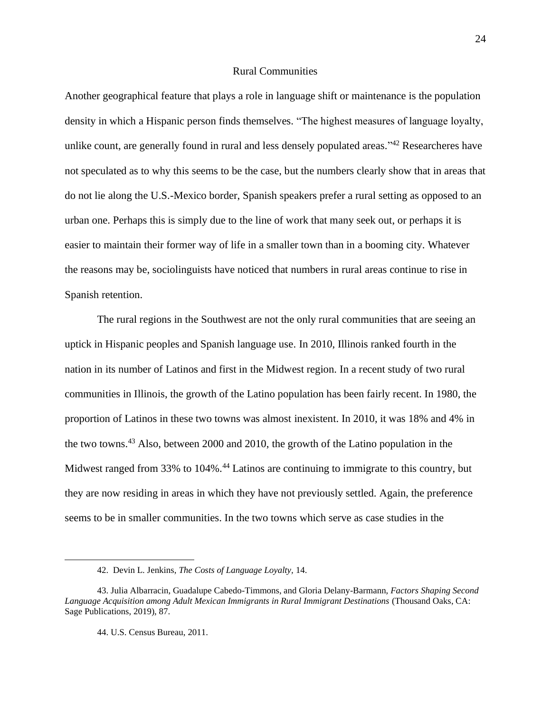## Rural Communities

Another geographical feature that plays a role in language shift or maintenance is the population density in which a Hispanic person finds themselves. "The highest measures of language loyalty, unlike count, are generally found in rural and less densely populated areas."<sup>42</sup> Researcheres have not speculated as to why this seems to be the case, but the numbers clearly show that in areas that do not lie along the U.S.-Mexico border, Spanish speakers prefer a rural setting as opposed to an urban one. Perhaps this is simply due to the line of work that many seek out, or perhaps it is easier to maintain their former way of life in a smaller town than in a booming city. Whatever the reasons may be, sociolinguists have noticed that numbers in rural areas continue to rise in Spanish retention.

The rural regions in the Southwest are not the only rural communities that are seeing an uptick in Hispanic peoples and Spanish language use. In 2010, Illinois ranked fourth in the nation in its number of Latinos and first in the Midwest region. In a recent study of two rural communities in Illinois, the growth of the Latino population has been fairly recent. In 1980, the proportion of Latinos in these two towns was almost inexistent. In 2010, it was 18% and 4% in the two towns.<sup>43</sup> Also, between 2000 and 2010, the growth of the Latino population in the Midwest ranged from 33% to 104%.<sup>44</sup> Latinos are continuing to immigrate to this country, but they are now residing in areas in which they have not previously settled. Again, the preference seems to be in smaller communities. In the two towns which serve as case studies in the

<sup>42.</sup> Devin L. Jenkins, *The Costs of Language Loyalty,* 14.

<sup>43.</sup> Julia Albarracin, Guadalupe Cabedo-Timmons, and Gloria Delany-Barmann, *Factors Shaping Second Language Acquisition among Adult Mexican Immigrants in Rural Immigrant Destinations* (Thousand Oaks, CA: Sage Publications, 2019), 87.

<sup>44.</sup> U.S. Census Bureau, 2011.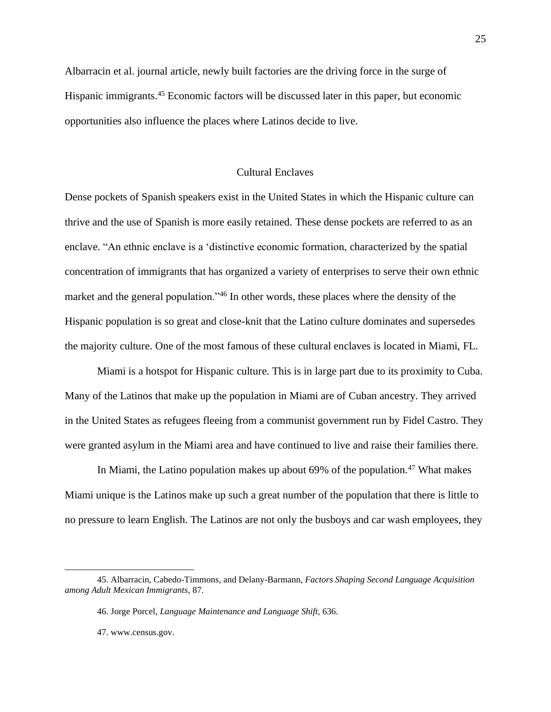Albarracin et al. journal article, newly built factories are the driving force in the surge of Hispanic immigrants.<sup>45</sup> Economic factors will be discussed later in this paper, but economic opportunities also influence the places where Latinos decide to live.

## Cultural Enclaves

Dense pockets of Spanish speakers exist in the United States in which the Hispanic culture can thrive and the use of Spanish is more easily retained. These dense pockets are referred to as an enclave. "An ethnic enclave is a 'distinctive economic formation, characterized by the spatial concentration of immigrants that has organized a variety of enterprises to serve their own ethnic market and the general population."<sup>46</sup> In other words, these places where the density of the Hispanic population is so great and close-knit that the Latino culture dominates and supersedes the majority culture. One of the most famous of these cultural enclaves is located in Miami, FL.

Miami is a hotspot for Hispanic culture. This is in large part due to its proximity to Cuba. Many of the Latinos that make up the population in Miami are of Cuban ancestry. They arrived in the United States as refugees fleeing from a communist government run by Fidel Castro. They were granted asylum in the Miami area and have continued to live and raise their families there.

In Miami, the Latino population makes up about  $69\%$  of the population.<sup>47</sup> What makes Miami unique is the Latinos make up such a great number of the population that there is little to no pressure to learn English. The Latinos are not only the busboys and car wash employees, they

<sup>45.</sup> Albarracin, Cabedo-Timmons, and Delany-Barmann, *Factors Shaping Second Language Acquisition among Adult Mexican Immigrants,* 87.

<sup>46.</sup> Jorge Porcel, *Language Maintenance and Language Shift,* 636.

<sup>47.</sup> www.census.gov.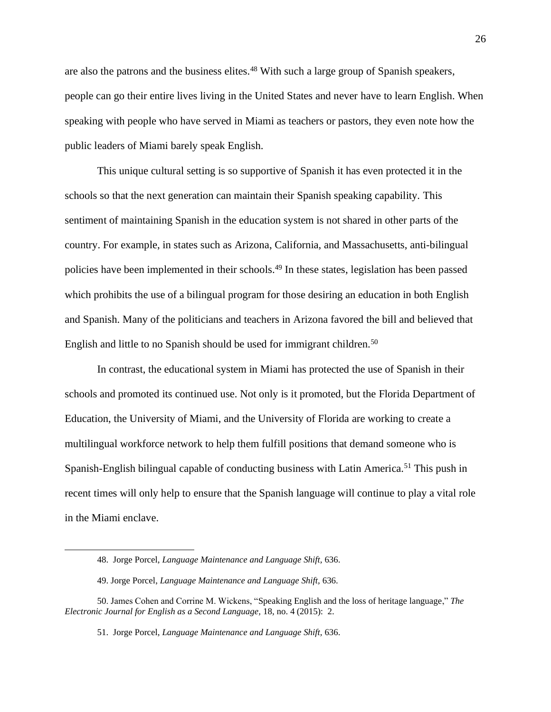are also the patrons and the business elites.<sup>48</sup> With such a large group of Spanish speakers, people can go their entire lives living in the United States and never have to learn English. When speaking with people who have served in Miami as teachers or pastors, they even note how the public leaders of Miami barely speak English.

This unique cultural setting is so supportive of Spanish it has even protected it in the schools so that the next generation can maintain their Spanish speaking capability. This sentiment of maintaining Spanish in the education system is not shared in other parts of the country. For example, in states such as Arizona, California, and Massachusetts, anti-bilingual policies have been implemented in their schools.<sup>49</sup> In these states, legislation has been passed which prohibits the use of a bilingual program for those desiring an education in both English and Spanish. Many of the politicians and teachers in Arizona favored the bill and believed that English and little to no Spanish should be used for immigrant children.<sup>50</sup>

In contrast, the educational system in Miami has protected the use of Spanish in their schools and promoted its continued use. Not only is it promoted, but the Florida Department of Education, the University of Miami, and the University of Florida are working to create a multilingual workforce network to help them fulfill positions that demand someone who is Spanish-English bilingual capable of conducting business with Latin America.<sup>51</sup> This push in recent times will only help to ensure that the Spanish language will continue to play a vital role in the Miami enclave.

<sup>48.</sup> Jorge Porcel, *Language Maintenance and Language Shift,* 636.

<sup>49.</sup> Jorge Porcel, *Language Maintenance and Language Shift,* 636.

<sup>50.</sup> James Cohen and Corrine M. Wickens, "Speaking English and the loss of heritage language," *The Electronic Journal for English as a Second Language,* 18, no. 4 (2015): 2.

<sup>51.</sup> Jorge Porcel, *Language Maintenance and Language Shift,* 636.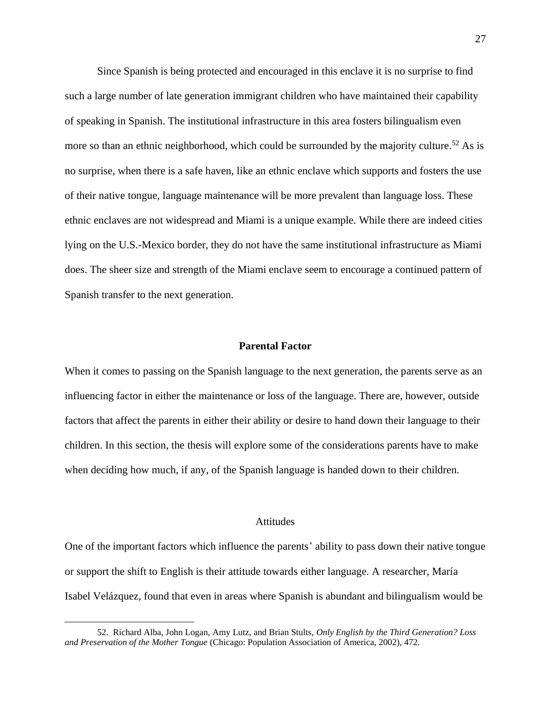Since Spanish is being protected and encouraged in this enclave it is no surprise to find such a large number of late generation immigrant children who have maintained their capability of speaking in Spanish. The institutional infrastructure in this area fosters bilingualism even more so than an ethnic neighborhood, which could be surrounded by the majority culture.<sup>52</sup> As is no surprise, when there is a safe haven, like an ethnic enclave which supports and fosters the use of their native tongue, language maintenance will be more prevalent than language loss. These ethnic enclaves are not widespread and Miami is a unique example. While there are indeed cities lying on the U.S.-Mexico border, they do not have the same institutional infrastructure as Miami does. The sheer size and strength of the Miami enclave seem to encourage a continued pattern of Spanish transfer to the next generation.

## **Parental Factor**

When it comes to passing on the Spanish language to the next generation, the parents serve as an influencing factor in either the maintenance or loss of the language. There are, however, outside factors that affect the parents in either their ability or desire to hand down their language to their children. In this section, the thesis will explore some of the considerations parents have to make when deciding how much, if any, of the Spanish language is handed down to their children.

### Attitudes

One of the important factors which influence the parents' ability to pass down their native tongue or support the shift to English is their attitude towards either language. A researcher, María Isabel Velázquez, found that even in areas where Spanish is abundant and bilingualism would be

<sup>52.</sup> Richard Alba, John Logan, Amy Lutz, and Brian Stults, *Only English by the Third Generation? Loss and Preservation of the Mother Tongue* (Chicago: Population Association of America, 2002), 472.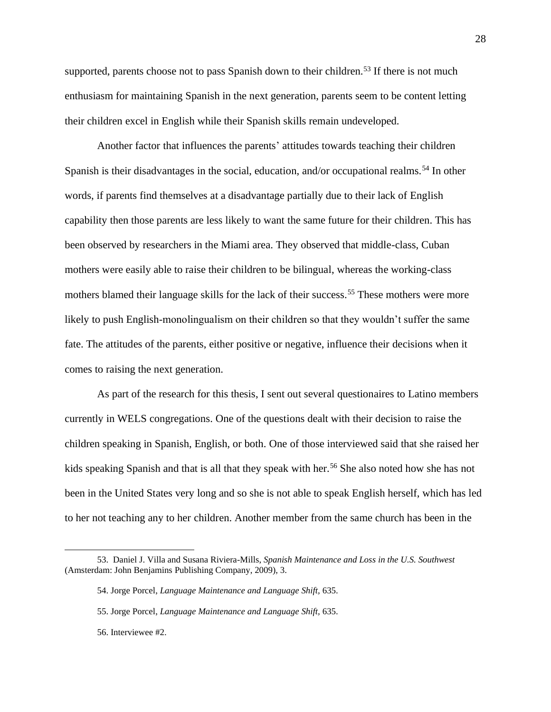supported, parents choose not to pass Spanish down to their children.<sup>53</sup> If there is not much enthusiasm for maintaining Spanish in the next generation, parents seem to be content letting their children excel in English while their Spanish skills remain undeveloped.

Another factor that influences the parents' attitudes towards teaching their children Spanish is their disadvantages in the social, education, and/or occupational realms.<sup>54</sup> In other words, if parents find themselves at a disadvantage partially due to their lack of English capability then those parents are less likely to want the same future for their children. This has been observed by researchers in the Miami area. They observed that middle-class, Cuban mothers were easily able to raise their children to be bilingual, whereas the working-class mothers blamed their language skills for the lack of their success.<sup>55</sup> These mothers were more likely to push English-monolingualism on their children so that they wouldn't suffer the same fate. The attitudes of the parents, either positive or negative, influence their decisions when it comes to raising the next generation.

As part of the research for this thesis, I sent out several questionaires to Latino members currently in WELS congregations. One of the questions dealt with their decision to raise the children speaking in Spanish, English, or both. One of those interviewed said that she raised her kids speaking Spanish and that is all that they speak with her.<sup>56</sup> She also noted how she has not been in the United States very long and so she is not able to speak English herself, which has led to her not teaching any to her children. Another member from the same church has been in the

<sup>53.</sup> Daniel J. Villa and Susana Riviera-Mills, *Spanish Maintenance and Loss in the U.S. Southwest*  (Amsterdam: John Benjamins Publishing Company, 2009), 3.

<sup>54.</sup> Jorge Porcel, *Language Maintenance and Language Shift,* 635.

<sup>55.</sup> Jorge Porcel, *Language Maintenance and Language Shift,* 635.

<sup>56.</sup> Interviewee #2.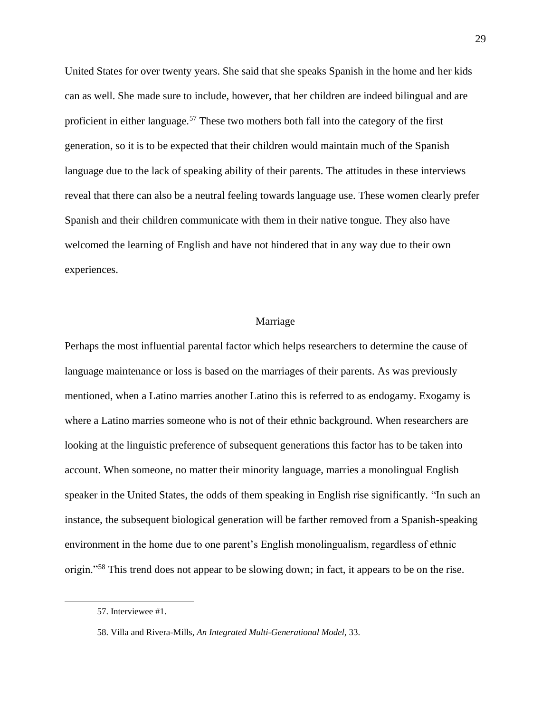United States for over twenty years. She said that she speaks Spanish in the home and her kids can as well. She made sure to include, however, that her children are indeed bilingual and are proficient in either language.<sup>57</sup> These two mothers both fall into the category of the first generation, so it is to be expected that their children would maintain much of the Spanish language due to the lack of speaking ability of their parents. The attitudes in these interviews reveal that there can also be a neutral feeling towards language use. These women clearly prefer Spanish and their children communicate with them in their native tongue. They also have welcomed the learning of English and have not hindered that in any way due to their own experiences.

## Marriage

Perhaps the most influential parental factor which helps researchers to determine the cause of language maintenance or loss is based on the marriages of their parents. As was previously mentioned, when a Latino marries another Latino this is referred to as endogamy. Exogamy is where a Latino marries someone who is not of their ethnic background. When researchers are looking at the linguistic preference of subsequent generations this factor has to be taken into account. When someone, no matter their minority language, marries a monolingual English speaker in the United States, the odds of them speaking in English rise significantly. "In such an instance, the subsequent biological generation will be farther removed from a Spanish-speaking environment in the home due to one parent's English monolingualism, regardless of ethnic origin."<sup>58</sup> This trend does not appear to be slowing down; in fact, it appears to be on the rise.

<sup>57.</sup> Interviewee #1.

<sup>58.</sup> Villa and Rivera-Mills, *An Integrated Multi-Generational Model,* 33.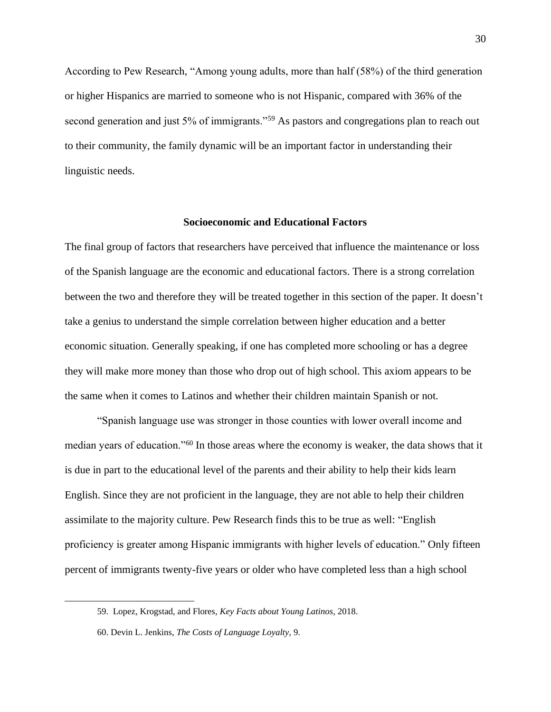According to Pew Research, "Among young adults, more than half (58%) of the third generation or higher Hispanics are married to someone who is not Hispanic, compared with 36% of the second generation and just 5% of immigrants."<sup>59</sup> As pastors and congregations plan to reach out to their community, the family dynamic will be an important factor in understanding their linguistic needs.

## **Socioeconomic and Educational Factors**

The final group of factors that researchers have perceived that influence the maintenance or loss of the Spanish language are the economic and educational factors. There is a strong correlation between the two and therefore they will be treated together in this section of the paper. It doesn't take a genius to understand the simple correlation between higher education and a better economic situation. Generally speaking, if one has completed more schooling or has a degree they will make more money than those who drop out of high school. This axiom appears to be the same when it comes to Latinos and whether their children maintain Spanish or not.

"Spanish language use was stronger in those counties with lower overall income and median years of education."<sup>60</sup> In those areas where the economy is weaker, the data shows that it is due in part to the educational level of the parents and their ability to help their kids learn English. Since they are not proficient in the language, they are not able to help their children assimilate to the majority culture. Pew Research finds this to be true as well: "English proficiency is greater among Hispanic immigrants with higher levels of education." Only fifteen percent of immigrants twenty-five years or older who have completed less than a high school

<sup>59.</sup> [Lopez,](https://www.pewresearch.org/fact-tank/2018/09/13/key-facts-about-young-latinos/) Krogstad, and Flores, *Key Facts about Young Latinos,* 2018.

<sup>60.</sup> Devin L. Jenkins, *The Costs of Language Loyalty,* 9.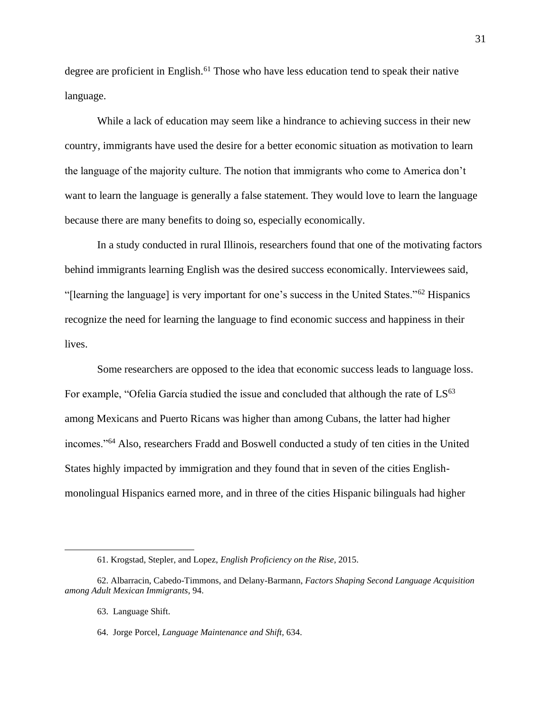degree are proficient in English.<sup>61</sup> Those who have less education tend to speak their native language.

While a lack of education may seem like a hindrance to achieving success in their new country, immigrants have used the desire for a better economic situation as motivation to learn the language of the majority culture. The notion that immigrants who come to America don't want to learn the language is generally a false statement. They would love to learn the language because there are many benefits to doing so, especially economically.

In a study conducted in rural Illinois, researchers found that one of the motivating factors behind immigrants learning English was the desired success economically. Interviewees said, "[learning the language] is very important for one's success in the United States."<sup>62</sup> Hispanics recognize the need for learning the language to find economic success and happiness in their lives.

Some researchers are opposed to the idea that economic success leads to language loss. For example, "Ofelia García studied the issue and concluded that although the rate of  $LS^{63}$ among Mexicans and Puerto Ricans was higher than among Cubans, the latter had higher incomes."<sup>64</sup> Also, researchers Fradd and Boswell conducted a study of ten cities in the United States highly impacted by immigration and they found that in seven of the cities Englishmonolingual Hispanics earned more, and in three of the cities Hispanic bilinguals had higher

<sup>61.</sup> Krogstad, Stepler, and Lopez, *English Proficiency on the Rise,* 2015.

<sup>62.</sup> Albarracin, Cabedo-Timmons, and Delany-Barmann, *Factors Shaping Second Language Acquisition among Adult Mexican Immigrants,* 94.

<sup>63.</sup> Language Shift.

<sup>64.</sup> Jorge Porcel, *Language Maintenance and Shift,* 634.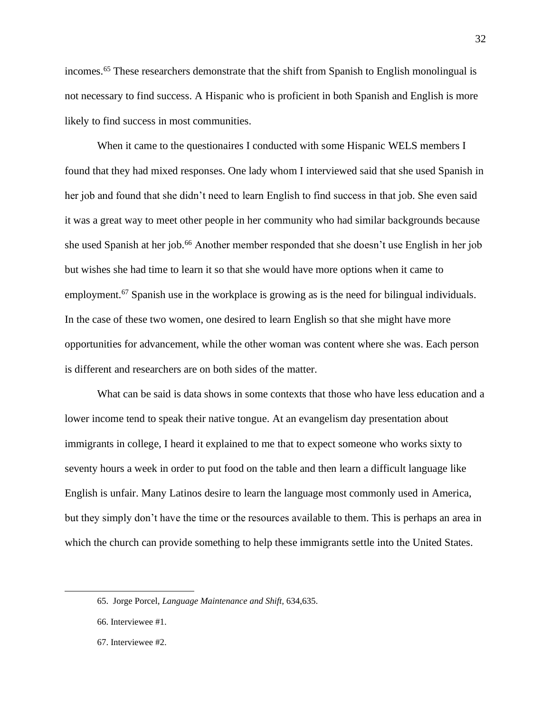incomes.<sup>65</sup> These researchers demonstrate that the shift from Spanish to English monolingual is not necessary to find success. A Hispanic who is proficient in both Spanish and English is more likely to find success in most communities.

When it came to the questionaires I conducted with some Hispanic WELS members I found that they had mixed responses. One lady whom I interviewed said that she used Spanish in her job and found that she didn't need to learn English to find success in that job. She even said it was a great way to meet other people in her community who had similar backgrounds because she used Spanish at her job.<sup>66</sup> Another member responded that she doesn't use English in her job but wishes she had time to learn it so that she would have more options when it came to employment.<sup>67</sup> Spanish use in the workplace is growing as is the need for bilingual individuals. In the case of these two women, one desired to learn English so that she might have more opportunities for advancement, while the other woman was content where she was. Each person is different and researchers are on both sides of the matter.

What can be said is data shows in some contexts that those who have less education and a lower income tend to speak their native tongue. At an evangelism day presentation about immigrants in college, I heard it explained to me that to expect someone who works sixty to seventy hours a week in order to put food on the table and then learn a difficult language like English is unfair. Many Latinos desire to learn the language most commonly used in America, but they simply don't have the time or the resources available to them. This is perhaps an area in which the church can provide something to help these immigrants settle into the United States.

<sup>65.</sup> Jorge Porcel, *Language Maintenance and Shift,* 634,635.

<sup>66.</sup> Interviewee #1.

<sup>67.</sup> Interviewee #2.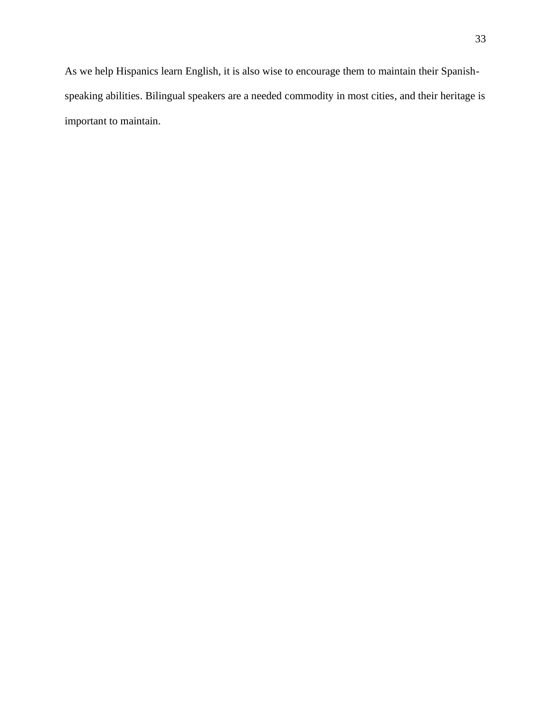As we help Hispanics learn English, it is also wise to encourage them to maintain their Spanishspeaking abilities. Bilingual speakers are a needed commodity in most cities, and their heritage is important to maintain.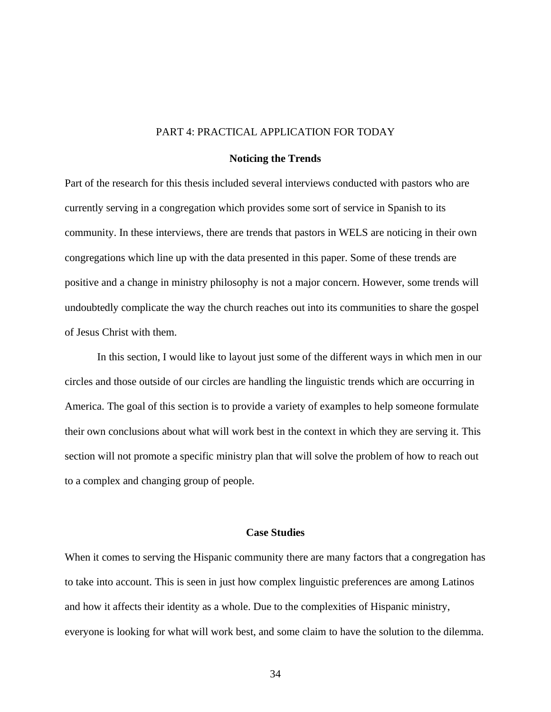## PART 4: PRACTICAL APPLICATION FOR TODAY

## **Noticing the Trends**

Part of the research for this thesis included several interviews conducted with pastors who are currently serving in a congregation which provides some sort of service in Spanish to its community. In these interviews, there are trends that pastors in WELS are noticing in their own congregations which line up with the data presented in this paper. Some of these trends are positive and a change in ministry philosophy is not a major concern. However, some trends will undoubtedly complicate the way the church reaches out into its communities to share the gospel of Jesus Christ with them.

In this section, I would like to layout just some of the different ways in which men in our circles and those outside of our circles are handling the linguistic trends which are occurring in America. The goal of this section is to provide a variety of examples to help someone formulate their own conclusions about what will work best in the context in which they are serving it. This section will not promote a specific ministry plan that will solve the problem of how to reach out to a complex and changing group of people.

## **Case Studies**

When it comes to serving the Hispanic community there are many factors that a congregation has to take into account. This is seen in just how complex linguistic preferences are among Latinos and how it affects their identity as a whole. Due to the complexities of Hispanic ministry, everyone is looking for what will work best, and some claim to have the solution to the dilemma.

34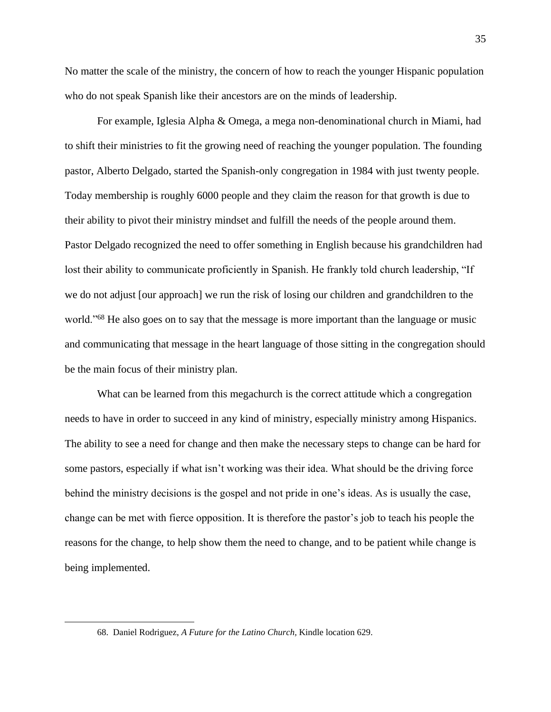No matter the scale of the ministry, the concern of how to reach the younger Hispanic population who do not speak Spanish like their ancestors are on the minds of leadership.

For example, Iglesia Alpha & Omega, a mega non-denominational church in Miami, had to shift their ministries to fit the growing need of reaching the younger population. The founding pastor, Alberto Delgado, started the Spanish-only congregation in 1984 with just twenty people. Today membership is roughly 6000 people and they claim the reason for that growth is due to their ability to pivot their ministry mindset and fulfill the needs of the people around them. Pastor Delgado recognized the need to offer something in English because his grandchildren had lost their ability to communicate proficiently in Spanish. He frankly told church leadership, "If we do not adjust [our approach] we run the risk of losing our children and grandchildren to the world."<sup>68</sup> He also goes on to say that the message is more important than the language or music and communicating that message in the heart language of those sitting in the congregation should be the main focus of their ministry plan.

What can be learned from this megachurch is the correct attitude which a congregation needs to have in order to succeed in any kind of ministry, especially ministry among Hispanics. The ability to see a need for change and then make the necessary steps to change can be hard for some pastors, especially if what isn't working was their idea. What should be the driving force behind the ministry decisions is the gospel and not pride in one's ideas. As is usually the case, change can be met with fierce opposition. It is therefore the pastor's job to teach his people the reasons for the change, to help show them the need to change, and to be patient while change is being implemented.

<sup>68.</sup> Daniel Rodriguez, *A Future for the Latino Church,* Kindle location 629.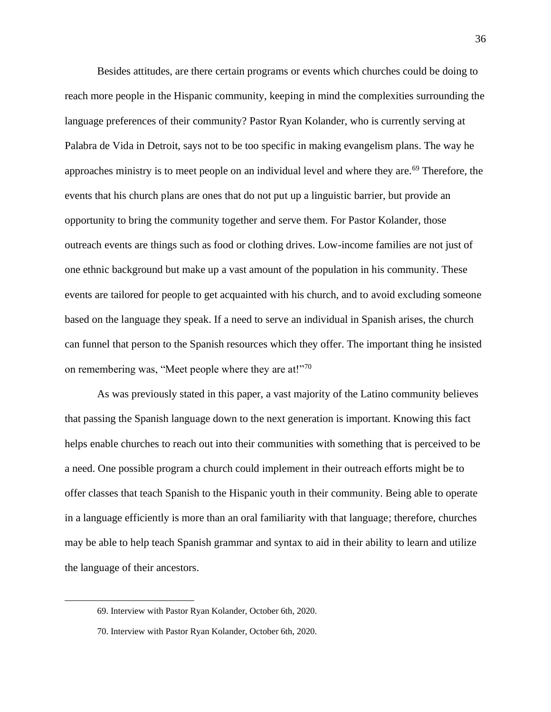Besides attitudes, are there certain programs or events which churches could be doing to reach more people in the Hispanic community, keeping in mind the complexities surrounding the language preferences of their community? Pastor Ryan Kolander, who is currently serving at Palabra de Vida in Detroit, says not to be too specific in making evangelism plans. The way he approaches ministry is to meet people on an individual level and where they are.<sup>69</sup> Therefore, the events that his church plans are ones that do not put up a linguistic barrier, but provide an opportunity to bring the community together and serve them. For Pastor Kolander, those outreach events are things such as food or clothing drives. Low-income families are not just of one ethnic background but make up a vast amount of the population in his community. These events are tailored for people to get acquainted with his church, and to avoid excluding someone based on the language they speak. If a need to serve an individual in Spanish arises, the church can funnel that person to the Spanish resources which they offer. The important thing he insisted on remembering was, "Meet people where they are at!"<sup>70</sup>

As was previously stated in this paper, a vast majority of the Latino community believes that passing the Spanish language down to the next generation is important. Knowing this fact helps enable churches to reach out into their communities with something that is perceived to be a need. One possible program a church could implement in their outreach efforts might be to offer classes that teach Spanish to the Hispanic youth in their community. Being able to operate in a language efficiently is more than an oral familiarity with that language; therefore, churches may be able to help teach Spanish grammar and syntax to aid in their ability to learn and utilize the language of their ancestors.

<sup>69.</sup> Interview with Pastor Ryan Kolander, October 6th, 2020.

<sup>70.</sup> Interview with Pastor Ryan Kolander, October 6th, 2020.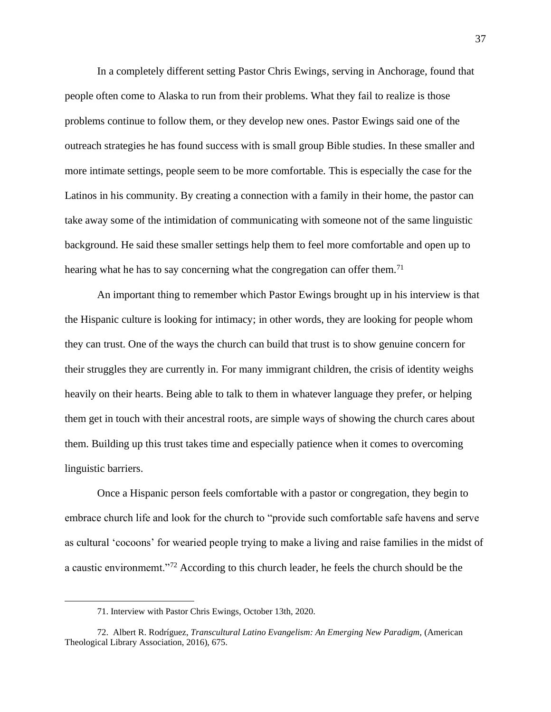In a completely different setting Pastor Chris Ewings, serving in Anchorage, found that people often come to Alaska to run from their problems. What they fail to realize is those problems continue to follow them, or they develop new ones. Pastor Ewings said one of the outreach strategies he has found success with is small group Bible studies. In these smaller and more intimate settings, people seem to be more comfortable. This is especially the case for the Latinos in his community. By creating a connection with a family in their home, the pastor can take away some of the intimidation of communicating with someone not of the same linguistic background. He said these smaller settings help them to feel more comfortable and open up to hearing what he has to say concerning what the congregation can offer them.<sup>71</sup>

An important thing to remember which Pastor Ewings brought up in his interview is that the Hispanic culture is looking for intimacy; in other words, they are looking for people whom they can trust. One of the ways the church can build that trust is to show genuine concern for their struggles they are currently in. For many immigrant children, the crisis of identity weighs heavily on their hearts. Being able to talk to them in whatever language they prefer, or helping them get in touch with their ancestral roots, are simple ways of showing the church cares about them. Building up this trust takes time and especially patience when it comes to overcoming linguistic barriers.

Once a Hispanic person feels comfortable with a pastor or congregation, they begin to embrace church life and look for the church to "provide such comfortable safe havens and serve as cultural 'cocoons' for wearied people trying to make a living and raise families in the midst of a caustic environmemt."<sup>72</sup> According to this church leader, he feels the church should be the

<sup>71.</sup> Interview with Pastor Chris Ewings, October 13th, 2020.

<sup>72.</sup> Albert R. Rodríguez, *Transcultural Latino Evangelism: An Emerging New Paradigm*, (American Theological Library Association, 2016), 675.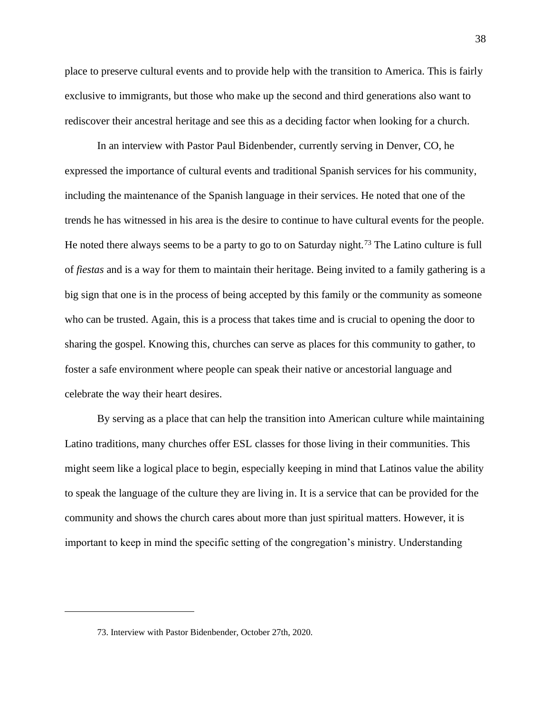place to preserve cultural events and to provide help with the transition to America. This is fairly exclusive to immigrants, but those who make up the second and third generations also want to rediscover their ancestral heritage and see this as a deciding factor when looking for a church.

In an interview with Pastor Paul Bidenbender, currently serving in Denver, CO, he expressed the importance of cultural events and traditional Spanish services for his community, including the maintenance of the Spanish language in their services. He noted that one of the trends he has witnessed in his area is the desire to continue to have cultural events for the people. He noted there always seems to be a party to go to on Saturday night.<sup>73</sup> The Latino culture is full of *fiestas* and is a way for them to maintain their heritage. Being invited to a family gathering is a big sign that one is in the process of being accepted by this family or the community as someone who can be trusted. Again, this is a process that takes time and is crucial to opening the door to sharing the gospel. Knowing this, churches can serve as places for this community to gather, to foster a safe environment where people can speak their native or ancestorial language and celebrate the way their heart desires.

By serving as a place that can help the transition into American culture while maintaining Latino traditions, many churches offer ESL classes for those living in their communities. This might seem like a logical place to begin, especially keeping in mind that Latinos value the ability to speak the language of the culture they are living in. It is a service that can be provided for the community and shows the church cares about more than just spiritual matters. However, it is important to keep in mind the specific setting of the congregation's ministry. Understanding

<sup>73.</sup> Interview with Pastor Bidenbender, October 27th, 2020.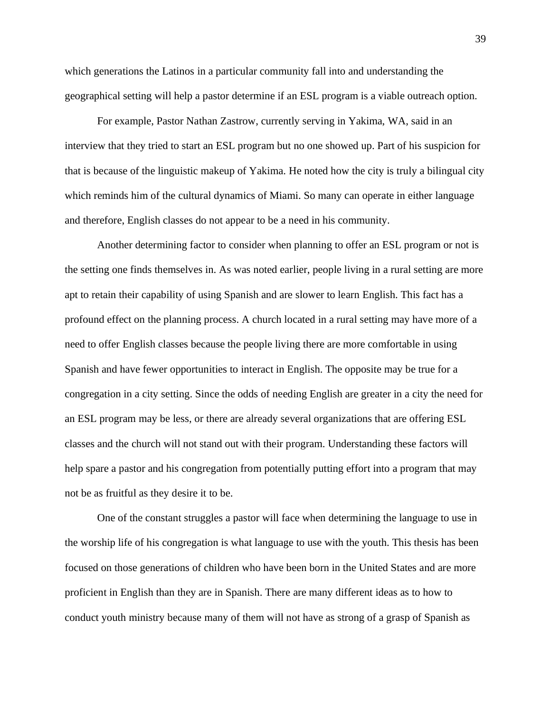which generations the Latinos in a particular community fall into and understanding the geographical setting will help a pastor determine if an ESL program is a viable outreach option.

For example, Pastor Nathan Zastrow, currently serving in Yakima, WA, said in an interview that they tried to start an ESL program but no one showed up. Part of his suspicion for that is because of the linguistic makeup of Yakima. He noted how the city is truly a bilingual city which reminds him of the cultural dynamics of Miami. So many can operate in either language and therefore, English classes do not appear to be a need in his community.

Another determining factor to consider when planning to offer an ESL program or not is the setting one finds themselves in. As was noted earlier, people living in a rural setting are more apt to retain their capability of using Spanish and are slower to learn English. This fact has a profound effect on the planning process. A church located in a rural setting may have more of a need to offer English classes because the people living there are more comfortable in using Spanish and have fewer opportunities to interact in English. The opposite may be true for a congregation in a city setting. Since the odds of needing English are greater in a city the need for an ESL program may be less, or there are already several organizations that are offering ESL classes and the church will not stand out with their program. Understanding these factors will help spare a pastor and his congregation from potentially putting effort into a program that may not be as fruitful as they desire it to be.

One of the constant struggles a pastor will face when determining the language to use in the worship life of his congregation is what language to use with the youth. This thesis has been focused on those generations of children who have been born in the United States and are more proficient in English than they are in Spanish. There are many different ideas as to how to conduct youth ministry because many of them will not have as strong of a grasp of Spanish as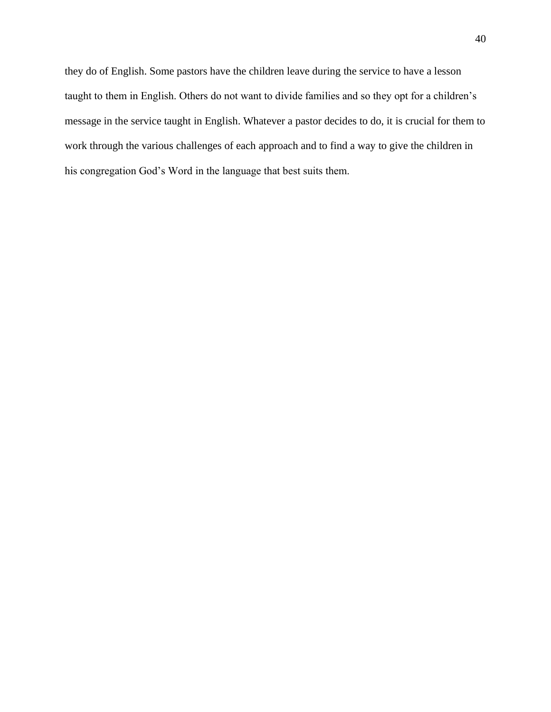they do of English. Some pastors have the children leave during the service to have a lesson taught to them in English. Others do not want to divide families and so they opt for a children's message in the service taught in English. Whatever a pastor decides to do, it is crucial for them to work through the various challenges of each approach and to find a way to give the children in his congregation God's Word in the language that best suits them.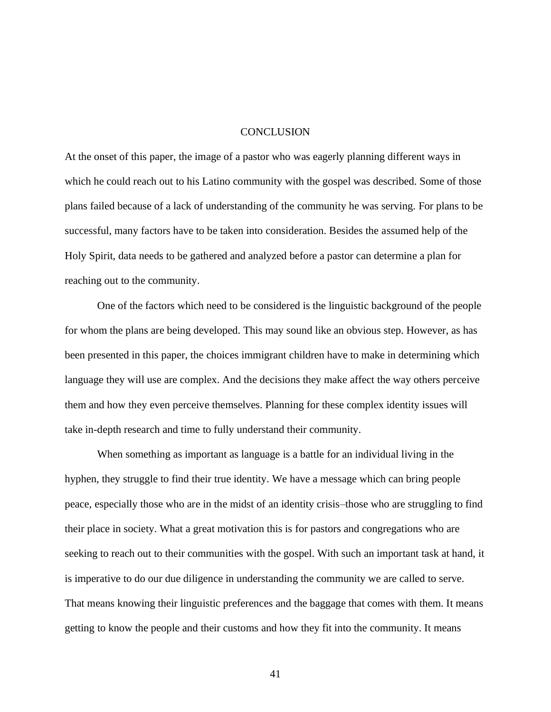## **CONCLUSION**

At the onset of this paper, the image of a pastor who was eagerly planning different ways in which he could reach out to his Latino community with the gospel was described. Some of those plans failed because of a lack of understanding of the community he was serving. For plans to be successful, many factors have to be taken into consideration. Besides the assumed help of the Holy Spirit, data needs to be gathered and analyzed before a pastor can determine a plan for reaching out to the community.

One of the factors which need to be considered is the linguistic background of the people for whom the plans are being developed. This may sound like an obvious step. However, as has been presented in this paper, the choices immigrant children have to make in determining which language they will use are complex. And the decisions they make affect the way others perceive them and how they even perceive themselves. Planning for these complex identity issues will take in-depth research and time to fully understand their community.

When something as important as language is a battle for an individual living in the hyphen, they struggle to find their true identity. We have a message which can bring people peace, especially those who are in the midst of an identity crisis–those who are struggling to find their place in society. What a great motivation this is for pastors and congregations who are seeking to reach out to their communities with the gospel. With such an important task at hand, it is imperative to do our due diligence in understanding the community we are called to serve. That means knowing their linguistic preferences and the baggage that comes with them. It means getting to know the people and their customs and how they fit into the community. It means

41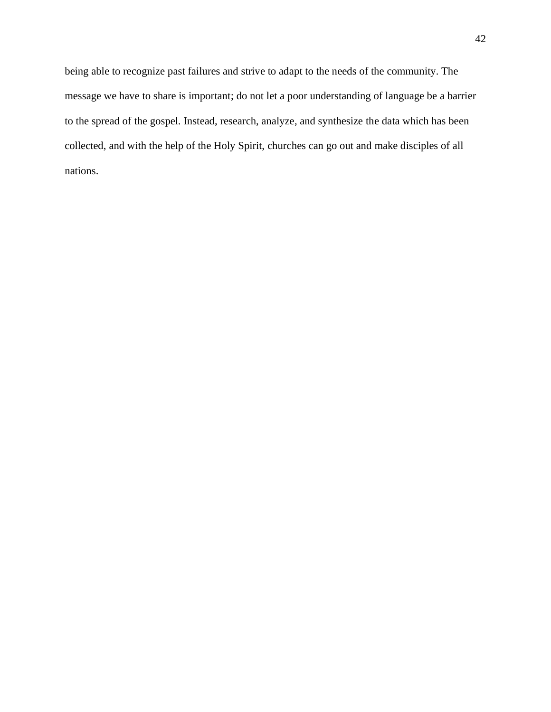being able to recognize past failures and strive to adapt to the needs of the community. The message we have to share is important; do not let a poor understanding of language be a barrier to the spread of the gospel. Instead, research, analyze, and synthesize the data which has been collected, and with the help of the Holy Spirit, churches can go out and make disciples of all nations.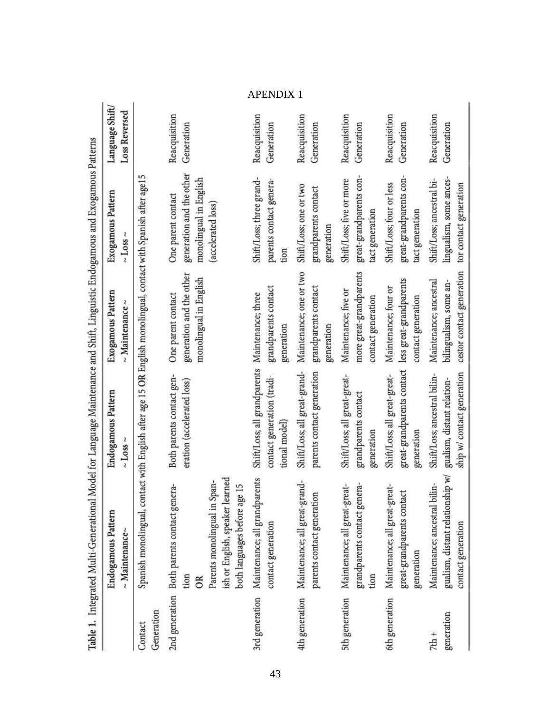|                       | Table 1. Integrated Multi-Generational Model for Language Maintenance and Shift, Linguistic Endogamous and Exogamous Patterns                                        |                                                                                                |                                                                               |                                                                                                |                                         |
|-----------------------|----------------------------------------------------------------------------------------------------------------------------------------------------------------------|------------------------------------------------------------------------------------------------|-------------------------------------------------------------------------------|------------------------------------------------------------------------------------------------|-----------------------------------------|
|                       | Endogamous Pattern<br>$~\sim$ Maintenance $~\sim$                                                                                                                    | <b>Endogamous Pattern</b><br>$\sim$ Loss $\sim$                                                | Exogamous Pattern<br>$~\sim$ Maintenance $~\sim$                              | Exogamous Pattern<br>$\sim$ Loss $\sim$                                                        | Language Shift/<br><b>Loss Reversed</b> |
| Generation<br>Contact | Spanish monolingual, contact with English after age 15 OR English monolingual, contact with Spanish after age15                                                      |                                                                                                |                                                                               |                                                                                                |                                         |
|                       | ish or English, speaker learned<br>Span-<br>2nd generation Both parents contact genera-<br>age 15<br>Parents monolingual in<br>both languages before a<br>tion<br>OR | Both parents contact gen-<br>eration (accelerated loss)                                        | generation and the other<br>monolingual in English<br>One parent contact      | generation and the other<br>monolingual in English<br>One parent contact<br>(accelerated loss) | Reacquisition<br>Generation             |
| 3rd generation        | Maintenance; all grandparents<br>contact generation                                                                                                                  | Shift/Loss; all grandparents Maintenance; three<br>contact generation (tradi-<br>tional model) | grandparents contact<br>generation                                            | Shift/Loss; three grand-<br>parents contact genera-<br>tion                                    | Reacquisition<br>Generation             |
| 4th generation        | Maintenance; all great-grand-<br>parents contact generation                                                                                                          | Shift/Loss; all great-grand-<br>parents contact generation                                     | Maintenance; one or two<br>grandparents contact<br>generation                 | Shift/Loss; one or two<br>grandparents contact<br>generation                                   | Reacquisition<br>Generation             |
| 5th generation        | grandparents contact genera-<br>Maintenance; all great-great-<br>tion                                                                                                | Shift/Loss; all great-great-<br>grandparents contact<br>generation                             | more great-grandparents<br>Maintenance; five or<br>contact generation         | great-grandparents con-<br>Shift/Loss; five or more<br>tact generation                         | Reacquisition<br>Generation             |
| 6th generation        | Maintenance; all great-great-<br>great-grandparents contact<br>generation                                                                                            | great-grandparents contact<br>Shift/Loss; all great-great-<br>generation                       | less great-grandparents<br>Maintenance; four or<br>contact generation         | great-grandparents con-<br>Shift/Loss; four or less<br>tact generation                         | Reacquisition<br>Generation             |
| generation<br>$7th +$ | gualism, distant relationship w/<br>Maintenance; ancestral bilin-<br>contact generation                                                                              | ship w/ contact generation<br>Shift/Loss; ancestral bilin-<br>gualism, distant relation-       | cestor contact generation<br>Maintenance; ancestral<br>bilingualism, some an- | lingualism, some ances-<br>Shift/Loss; ancestral bi-<br>tor contact generation                 | Reacquisition<br>Generation             |

APENDIX 1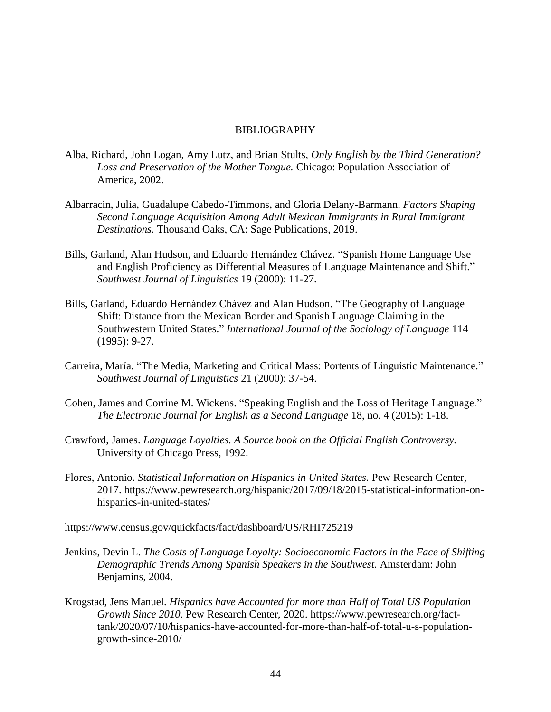## BIBLIOGRAPHY

- Alba, Richard, John Logan, Amy Lutz, and Brian Stults, *Only English by the Third Generation? Loss and Preservation of the Mother Tongue.* Chicago: Population Association of America, 2002.
- Albarracin, Julia, Guadalupe Cabedo-Timmons, and Gloria Delany-Barmann. *Factors Shaping Second Language Acquisition Among Adult Mexican Immigrants in Rural Immigrant Destinations.* Thousand Oaks, CA: Sage Publications, 2019.
- Bills, Garland, Alan Hudson, and Eduardo Hernández Chávez. "Spanish Home Language Use and English Proficiency as Differential Measures of Language Maintenance and Shift." *Southwest Journal of Linguistics* 19 (2000): 11-27.
- Bills, Garland, Eduardo Hernández Chávez and Alan Hudson. "The Geography of Language Shift: Distance from the Mexican Border and Spanish Language Claiming in the Southwestern United States." *International Journal of the Sociology of Language* 114 (1995): 9-27.
- Carreira, María. "The Media, Marketing and Critical Mass: Portents of Linguistic Maintenance." *Southwest Journal of Linguistics* 21 (2000): 37-54.
- Cohen, James and Corrine M. Wickens. "Speaking English and the Loss of Heritage Language*.*" *The Electronic Journal for English as a Second Language* 18, no. 4 (2015): 1-18.
- Crawford, James. *Language Loyalties. A Source book on the Official English Controversy.*  University of Chicago Press, 1992.
- Flores, Antonio. *Statistical Information on Hispanics in United States.* Pew Research Center, 2017. https://www.pewresearch.org/hispanic/2017/09/18/2015-statistical-information-onhispanics-in-united-states/
- https://www.census.gov/quickfacts/fact/dashboard/US/RHI725219
- Jenkins, Devin L. *The Costs of Language Loyalty: Socioeconomic Factors in the Face of Shifting Demographic Trends Among Spanish Speakers in the Southwest.* Amsterdam: John Benjamins, 2004.
- Krogstad, Jens Manuel. *Hispanics have Accounted for more than Half of Total US Population Growth Since 2010.* Pew Research Center, 2020. https://www.pewresearch.org/facttank/2020/07/10/hispanics-have-accounted-for-more-than-half-of-total-u-s-populationgrowth-since-2010/